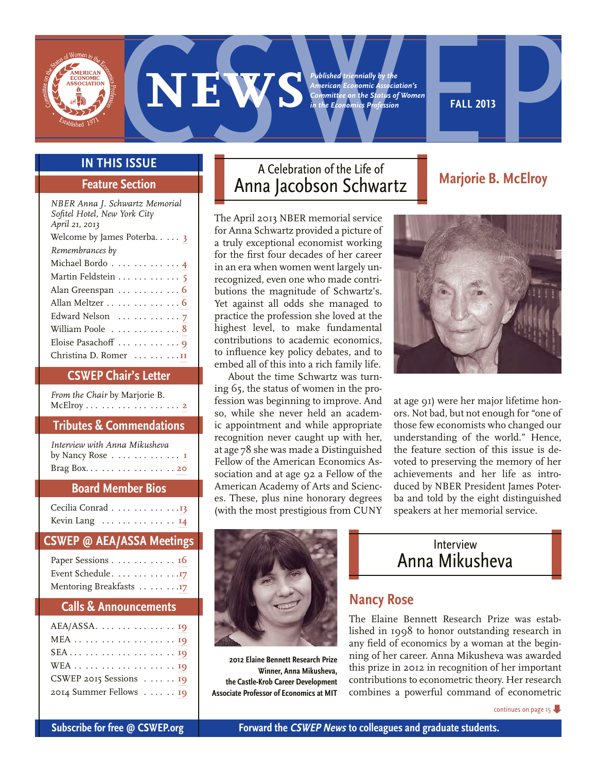<span id="page-0-0"></span>**EXECUTE:**<br> **EXECUTE:**<br> **EXECUTE:**<br> **EXECUTE:**<br> **EXECUTE:**<br> **EXECUTE:**<br>
A Celebration of the Life of<br>
A Celebration of the Life of<br>
Mariaria B. McLincox *Published triennially by the American Economic Association's Committee on the Status of Women in the Economics Profession*

**fall 2013** 

#### **In This Issue**

#### **Feature Section**

| NBER Anna J. Schwartz Memorial |  |  |  |
|--------------------------------|--|--|--|
| Sofitel Hotel, New York City   |  |  |  |
| April 21, 2013                 |  |  |  |
| Welcome by James Poterba 3     |  |  |  |
| Remembrances by                |  |  |  |
| Michael Bordo 4                |  |  |  |
| Martin Feldstein     5         |  |  |  |
| Alan Greenspan     6           |  |  |  |
| Allan Meltzer 6                |  |  |  |
| Edward Nelson     7            |  |  |  |
| William Poole 8                |  |  |  |
| Eloise Pasachoff     9         |  |  |  |
| Christina D. Romer    II       |  |  |  |

#### **CSWEP Chair's Letter**

*From the Chair* by Marjorie B. McElroy . **[2](#page-1-0)**

#### **Tributes & Commendations**

| Interview with Anna Mikusheva |  |
|-------------------------------|--|
| by Nancy Rose I               |  |
| Brag Box. 20                  |  |

#### **Board Member Bios**

| Cecilia Conrad 13                             |  |  |  |  |  |  |
|-----------------------------------------------|--|--|--|--|--|--|
| Kevin Lang $\dots \dots \dots \dots \dots$ 14 |  |  |  |  |  |  |

#### **CSWEP @ AEA/ASSA Meetings**

| Paper Sessions 16       |  |
|-------------------------|--|
| Event Schedule. 17      |  |
| Mentoring Breakfasts 17 |  |

#### **Calls & Announcements**

| $AEA/ASSA. \ldots \ldots \ldots \ldots \ldots$ |
|------------------------------------------------|
|                                                |
| SEA       19                                   |
| WEA 19                                         |
| CSWEP 2015 Sessions $\ldots$ 19                |
| 2014 Summer Fellows 19                         |

## A Celebration of the Life of Anna Jacobson Schwartz

The April 2013 NBER memorial service for Anna Schwartz provided a picture of a truly exceptional economist working for the first four decades of her career in an era when women went largely unrecognized, even one who made contributions the magnitude of Schwartz's. Yet against all odds she managed to practice the profession she loved at the highest level, to make fundamental contributions to academic economics, to influence key policy debates, and to embed all of this into a rich family life.

About the time Schwartz was turning 65, the status of women in the profession was beginning to improve. And so, while she never held an academic appointment and while appropriate recognition never caught up with her, at age 78 she was made a Distinguished Fellow of the American Economics Association and at age 92 a Fellow of the American Academy of Arts and Sciences. These, plus nine honorary degrees (with the most prestigious from CUNY



**Marjorie B. McElroy**

at age 91) were her major lifetime honors. Not bad, but not enough for "one of those few economists who changed our understanding of the world." Hence, the feature section of this issue is devoted to preserving the memory of her achievements and her life as introduced by NBER President James Poterba and told by the eight distinguished speakers at her memorial service.



**2012 Elaine Bennett Research Prize Winner, Anna Mikusheva, the Castle-Krob Career Development Associate Professor of Economics at MIT**



#### **Nancy Rose**

The Elaine Bennett Research Prize was established in 1998 to honor outstanding research in any field of economics by a woman at the beginning of her career. Anna Mikusheva was awarded this prize in 2012 in recognition of her important contributions to econometric theory. Her research combines a powerful command of econometric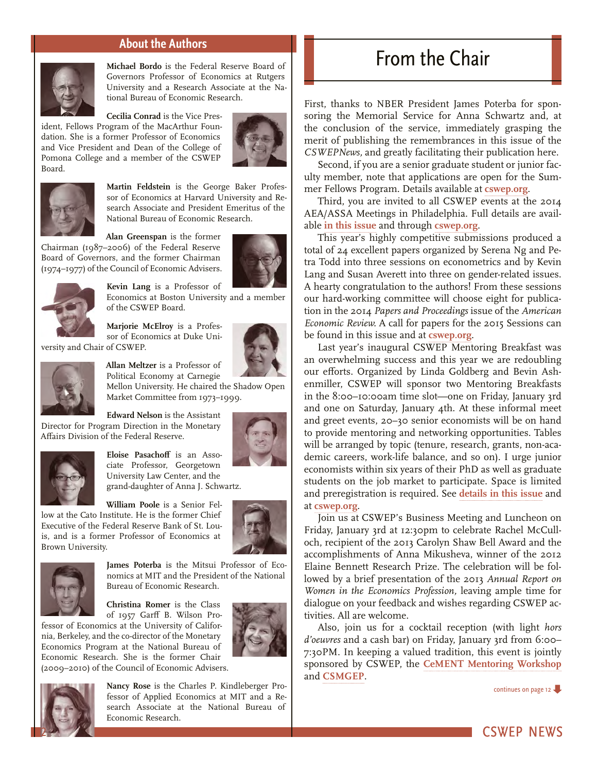#### **About the Authors**

<span id="page-1-0"></span>

**Michael Bordo** is the Federal Reserve Board of Governors Professor of Economics at Rutgers University and a Research Associate at the National Bureau of Economic Research.

**Cecilia Conrad** is the Vice President, Fellows Program of the MacArthur Foundation. She is a former Professor of Economics and Vice President and Dean of the College of Pomona College and a member of the CSWEP Board.





**Martin Feldstein** is the George Baker Professor of Economics at Harvard University and Research Associate and President Emeritus of the National Bureau of Economic Research.

**Alan Greenspan** is the former Chairman (1987–2006) of the Federal Reserve Board of Governors, and the former Chairman (1974–1977) of the Council of Economic Advisers.





**Kevin Lang** is a Professor of Economics at Boston University and a member of the CSWEP Board.

**Marjorie McElroy** is a Professor of Economics at Duke University and Chair of CSWEP.

**Allan Meltzer** is a Professor of





Political Economy at Carnegie Mellon University. He chaired the Shadow Open Market Committee from 1973–1999.

**Edward Nelson** is the Assistant Director for Program Direction in the Monetary

Affairs Division of the Federal Reserve.





**Eloise Pasachoff** is an Associate Professor, Georgetown University Law Center, and the grand-daughter of Anna J. Schwartz.

**William Poole** is a Senior Fellow at the Cato Institute. He is the former Chief Executive of the Federal Reserve Bank of St. Louis, and is a former Professor of Economics at Brown University.





**James Poterba** is the Mitsui Professor of Economics at MIT and the President of the National Bureau of Economic Research.

**Christina Romer** is the Class of 1957 Garff B. Wilson Pro-

fessor of Economics at the University of California, Berkeley, and the co-director of the Monetary Economics Program at the National Bureau of Economic Research. She is the former Chair (2009–2010) of the Council of Economic Advisers.





2

**Nancy Rose** is the Charles P. Kindleberger Professor of Applied Economics at MIT and a Research Associate at the National Bureau of Economic Research.

# From the Chair

First, thanks to NBER President James Poterba for sponsoring the Memorial Service for Anna Schwartz and, at the conclusion of the service, immediately grasping the merit of publishing the remembrances in this issue of the *CSWEPNews,* and greatly facilitating their publication here.

Second, if you are a senior graduate student or junior faculty member, note that applications are open for the Summer Fellows Program. Details available at **[cswep.org](http://www.aeaweb.org/committees/cswep/summerfellows/)**.

Third, you are invited to all CSWEP events at the 2014 AEA/ASSA Meetings in Philadelphia. Full details are available **[in this issue](#page-15-0)** and through **[cswep.org](http://www.aeaweb.org/committees/cswep/annual_meeting.php)**.

This year's highly competitive submissions produced a total of 24 excellent papers organized by Serena Ng and Petra Todd into three sessions on econometrics and by Kevin Lang and Susan Averett into three on gender-related issues. A hearty congratulation to the authors! From these sessions our hard-working committee will choose eight for publication in the 2014 *Papers and Proceedings* issue of the *American Economic Review.* A call for papers for the 2015 Sessions can be found in this issue and at **[cswep.org](http://www.aeaweb.org/committees/cswep/CallAbstracts.php)**.

Last year's inaugural CSWEP Mentoring Breakfast was an overwhelming success and this year we are redoubling our efforts. Organized by Linda Goldberg and Bevin Ashenmiller, CSWEP will sponsor two Mentoring Breakfasts in the 8:00–10:00am time slot—one on Friday, January 3rd and one on Saturday, January 4th. At these informal meet and greet events, 20–30 senior economists will be on hand to provide mentoring and networking opportunities. Tables will be arranged by topic (tenure, research, grants, non-academic careers, work-life balance, and so on). I urge junior economists within six years of their PhD as well as graduate students on the job market to participate. Space is limited and preregistration is required. See **[details in this issue](#page-16-1)** and at **[cswep.org](http://www.aeaweb.org/committees/cswep/annual_meeting.php#breakfasts)**.

Join us at CSWEP's Business Meeting and Luncheon on Friday, January 3rd at 12:30pm to celebrate Rachel McCulloch, recipient of the 2013 Carolyn Shaw Bell Award and the accomplishments of Anna Mikusheva, winner of the 2012 Elaine Bennett Research Prize. The celebration will be followed by a brief presentation of the 2013 *Annual Report on Women in the Economics Profession,* leaving ample time for dialogue on your feedback and wishes regarding CSWEP activities. All are welcome.

Also, join us for a cocktail reception (with light *hors d'oeuvres* and a cash bar) on Friday, January 3rd from 6:00– 7:30PM. In keeping a valued tradition, this event is jointly sponsored by CSWEP, the **[CeMENT Mentoring Workshop](http://www.aeaweb.org/committees/cswep/mentoring/)**  and **[CSMGEP](http://www.aeaweb.org/committees/CSMGEP/index.php)**.

[continues on page 12](#page-11-0)  $\blacktriangleright$ 

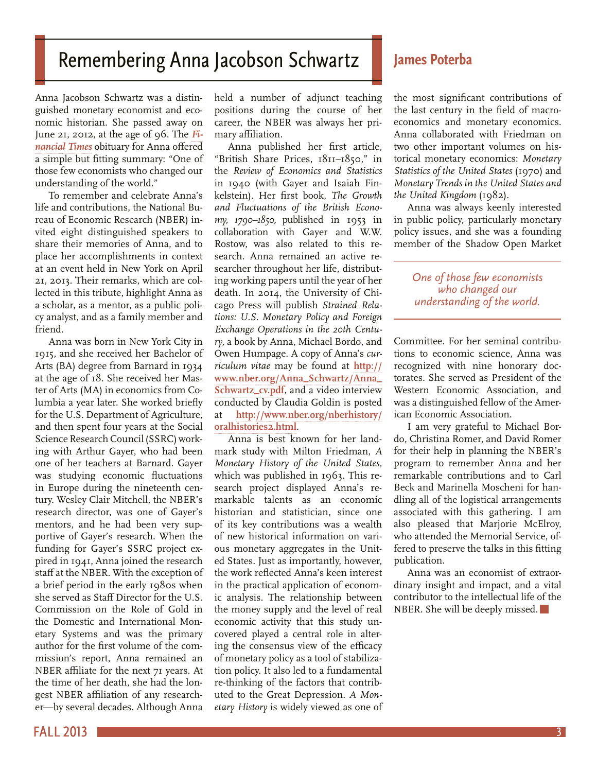# <span id="page-2-0"></span>Remembering Anna Jacobson Schwartz

#### Anna Jacobson Schwartz was a distinguished monetary economist and economic historian. She passed away on June 21, 2012, at the age of 96. The *[Fi](http://on.ft.com/13LtKUx)[nancial Times](http://on.ft.com/13LtKUx)* obituary for Anna offered a simple but fitting summary: "One of those few economists who changed our understanding of the world."

To remember and celebrate Anna's life and contributions, the National Bureau of Economic Research (NBER) invited eight distinguished speakers to share their memories of Anna, and to place her accomplishments in context at an event held in New York on April 21, 2013. Their remarks, which are collected in this tribute, highlight Anna as a scholar, as a mentor, as a public policy analyst, and as a family member and friend.

Anna was born in New York City in 1915, and she received her Bachelor of Arts (BA) degree from Barnard in 1934 at the age of 18. She received her Master of Arts (MA) in economics from Columbia a year later. She worked briefly for the U.S. Department of Agriculture, and then spent four years at the Social Science Research Council (SSRC) working with Arthur Gayer, who had been one of her teachers at Barnard. Gayer was studying economic fluctuations in Europe during the nineteenth century. Wesley Clair Mitchell, the NBER's research director, was one of Gayer's mentors, and he had been very supportive of Gayer's research. When the funding for Gayer's SSRC project expired in 1941, Anna joined the research staff at the NBER. With the exception of a brief period in the early 1980s when she served as Staff Director for the U.S. Commission on the Role of Gold in the Domestic and International Monetary Systems and was the primary author for the first volume of the commission's report, Anna remained an NBER affiliate for the next 71 years. At the time of her death, she had the longest NBER affiliation of any researcher—by several decades. Although Anna

held a number of adjunct teaching positions during the course of her career, the NBER was always her primary affiliation.

Anna published her first article, "British Share Prices, 1811–1850," in the *Review of Economics and Statistics*  in 1940 (with Gayer and Isaiah Finkelstein). Her first book, *The Growth and Fluctuations of the British Economy, 1790–1850,* published in 1953 in collaboration with Gayer and W.W. Rostow, was also related to this research. Anna remained an active researcher throughout her life, distributing working papers until the year of her death. In 2014, the University of Chicago Press will publish *Strained Relations: U.S. Monetary Policy and Foreign Exchange Operations in the 20th Century,* a book by Anna, Michael Bordo, and Owen Humpage. A copy of Anna's *curriculum vitae* may be found at **[http://](http://www.nber.org/Anna_Schwartz/Anna_Schwartz_cv.pdf) [www.nber.org/Anna\\_Schwartz/Anna\\_](http://www.nber.org/Anna_Schwartz/Anna_Schwartz_cv.pdf) [Schwartz\\_cv.pdf](http://www.nber.org/Anna_Schwartz/Anna_Schwartz_cv.pdf)**, and a video interview conducted by Claudia Goldin is posted at **[http://www.nber.org/nberhistory/](http://www.nber.org/nberhistory/oralhistories2.html) [oralhistories2.html](http://www.nber.org/nberhistory/oralhistories2.html)**.

Anna is best known for her landmark study with Milton Friedman, *A Monetary History of the United States,*  which was published in 1963. This research project displayed Anna's remarkable talents as an economic historian and statistician, since one of its key contributions was a wealth of new historical information on various monetary aggregates in the United States. Just as importantly, however, the work reflected Anna's keen interest in the practical application of economic analysis. The relationship between the money supply and the level of real economic activity that this study uncovered played a central role in altering the consensus view of the efficacy of monetary policy as a tool of stabilization policy. It also led to a fundamental re-thinking of the factors that contributed to the Great Depression. *A Monetary History* is widely viewed as one of

#### **James Poterba**

the most significant contributions of the last century in the field of macroeconomics and monetary economics. Anna collaborated with Friedman on two other important volumes on historical monetary economics: *Monetary Statistics of the United States* (1970) and *Monetary Trends in the United States and the United Kingdom* (1982).

Anna was always keenly interested in public policy, particularly monetary policy issues, and she was a founding member of the Shadow Open Market

#### *One of those few economists who changed our understanding of the world.*

Committee. For her seminal contributions to economic science, Anna was recognized with nine honorary doctorates. She served as President of the Western Economic Association, and was a distinguished fellow of the American Economic Association.

I am very grateful to Michael Bordo, Christina Romer, and David Romer for their help in planning the NBER's program to remember Anna and her remarkable contributions and to Carl Beck and Marinella Moscheni for handling all of the logistical arrangements associated with this gathering. I am also pleased that Marjorie McElroy, who attended the Memorial Service, offered to preserve the talks in this fitting publication.

Anna was an economist of extraordinary insight and impact, and a vital contributor to the intellectual life of the NBER. She will be deeply missed.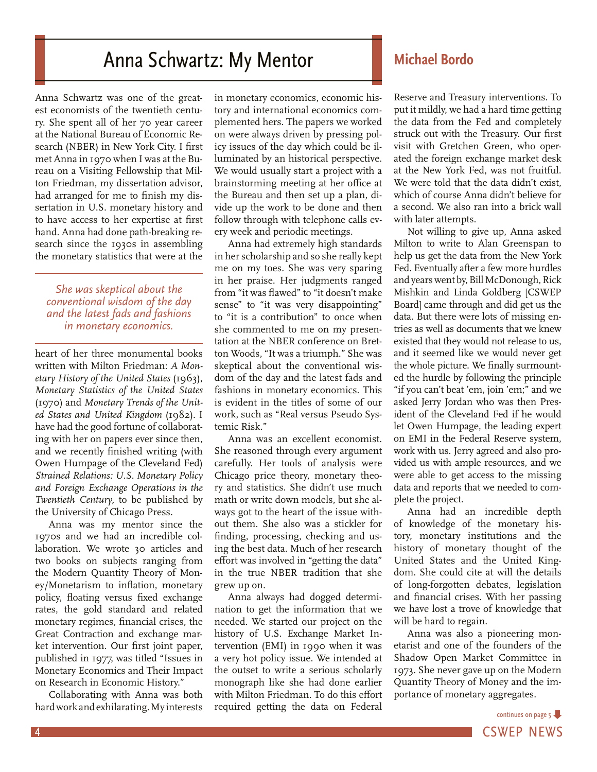# Anna Schwartz: My Mentor **Michael Bordo**

<span id="page-3-0"></span>Anna Schwartz was one of the greatest economists of the twentieth century. She spent all of her 70 year career at the National Bureau of Economic Research (NBER) in New York City. I first met Anna in 1970 when I was at the Bureau on a Visiting Fellowship that Milton Friedman, my dissertation advisor, had arranged for me to finish my dissertation in U.S. monetary history and to have access to her expertise at first hand. Anna had done path-breaking research since the 1930s in assembling the monetary statistics that were at the

#### *She was skeptical about the conventional wisdom of the day and the latest fads and fashions in monetary economics.*

heart of her three monumental books written with Milton Friedman: *A Monetary History of the United States* (1963), *Monetary Statistics of the United States*  (1970) and *Monetary Trends of the United States and United Kingdom* (1982). I have had the good fortune of collaborating with her on papers ever since then, and we recently finished writing (with Owen Humpage of the Cleveland Fed) *Strained Relations: U.S. Monetary Policy and Foreign Exchange Operations in the Twentieth Century,* to be published by the University of Chicago Press.

Anna was my mentor since the 1970s and we had an incredible collaboration. We wrote 30 articles and two books on subjects ranging from the Modern Quantity Theory of Money/Monetarism to inflation, monetary policy, floating versus fixed exchange rates, the gold standard and related monetary regimes, financial crises, the Great Contraction and exchange market intervention. Our first joint paper, published in 1977, was titled "Issues in Monetary Economics and Their Impact on Research in Economic History."

Collaborating with Anna was both hard work and exhilarating. My interests in monetary economics, economic history and international economics complemented hers. The papers we worked on were always driven by pressing policy issues of the day which could be illuminated by an historical perspective. We would usually start a project with a brainstorming meeting at her office at the Bureau and then set up a plan, divide up the work to be done and then follow through with telephone calls every week and periodic meetings.

Anna had extremely high standards in her scholarship and so she really kept me on my toes. She was very sparing in her praise. Her judgments ranged from "it was flawed" to "it doesn't make sense" to "it was very disappointing" to "it is a contribution" to once when she commented to me on my presentation at the NBER conference on Bretton Woods, "It was a triumph." She was skeptical about the conventional wisdom of the day and the latest fads and fashions in monetary economics. This is evident in the titles of some of our work, such as "Real versus Pseudo Systemic Risk."

Anna was an excellent economist. She reasoned through every argument carefully. Her tools of analysis were Chicago price theory, monetary theory and statistics. She didn't use much math or write down models, but she always got to the heart of the issue without them. She also was a stickler for finding, processing, checking and using the best data. Much of her research effort was involved in "getting the data" in the true NBER tradition that she grew up on.

Anna always had dogged determination to get the information that we needed. We started our project on the history of U.S. Exchange Market Intervention (EMI) in 1990 when it was a very hot policy issue. We intended at the outset to write a serious scholarly monograph like she had done earlier with Milton Friedman. To do this effort required getting the data on Federal

Reserve and Treasury interventions. To put it mildly, we had a hard time getting the data from the Fed and completely struck out with the Treasury. Our first visit with Gretchen Green, who operated the foreign exchange market desk at the New York Fed, was not fruitful. We were told that the data didn't exist, which of course Anna didn't believe for a second. We also ran into a brick wall with later attempts.

Not willing to give up, Anna asked Milton to write to Alan Greenspan to help us get the data from the New York Fed. Eventually after a few more hurdles and years went by, Bill McDonough, Rick Mishkin and Linda Goldberg [CSWEP Board] came through and did get us the data. But there were lots of missing entries as well as documents that we knew existed that they would not release to us, and it seemed like we would never get the whole picture. We finally surmounted the hurdle by following the principle "if you can't beat 'em, join 'em;" and we asked Jerry Jordan who was then President of the Cleveland Fed if he would let Owen Humpage, the leading expert on EMI in the Federal Reserve system, work with us. Jerry agreed and also provided us with ample resources, and we were able to get access to the missing data and reports that we needed to complete the project.

Anna had an incredible depth of knowledge of the monetary history, monetary institutions and the history of monetary thought of the United States and the United Kingdom. She could cite at will the details of long-forgotten debates, legislation and financial crises. With her passing we have lost a trove of knowledge that will be hard to regain.

Anna was also a pioneering monetarist and one of the founders of the Shadow Open Market Committee in 1973. She never gave up on the Modern Quantity Theory of Money and the importance of monetary aggregates.

4 **A** CSWEP NEWS continues on page  $5 -$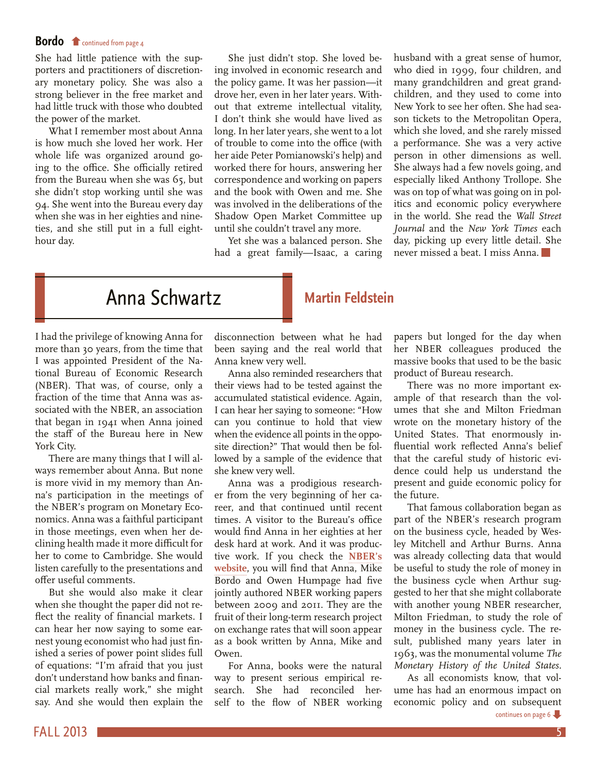#### <span id="page-4-0"></span>**Bordo f** continued from page 4

[She had little patience with the sup](#page-3-0)porters and practitioners of discretionary monetary policy. She was also a strong believer in the free market and had little truck with those who doubted the power of the market.

What I remember most about Anna is how much she loved her work. Her whole life was organized around going to the office. She officially retired from the Bureau when she was 65, but she didn't stop working until she was 94. She went into the Bureau every day when she was in her eighties and nineties, and she still put in a full eighthour day.

She just didn't stop. She loved being involved in economic research and the policy game. It was her passion—it drove her, even in her later years. Without that extreme intellectual vitality, I don't think she would have lived as long. In her later years, she went to a lot of trouble to come into the office (with her aide Peter Pomianowski's help) and worked there for hours, answering her correspondence and working on papers and the book with Owen and me. She was involved in the deliberations of the Shadow Open Market Committee up until she couldn't travel any more.

Yet she was a balanced person. She had a great family—Isaac, a caring husband with a great sense of humor, who died in 1999, four children, and many grandchildren and great grandchildren, and they used to come into New York to see her often. She had season tickets to the Metropolitan Opera, which she loved, and she rarely missed a performance. She was a very active person in other dimensions as well. She always had a few novels going, and especially liked Anthony Trollope. She was on top of what was going on in politics and economic policy everywhere in the world. She read the *Wall Street Journal* and the *New York Times* each day, picking up every little detail. She never missed a beat. I miss Anna.

# Anna Schwartz **Martin Feldstein**

#### I had the privilege of knowing Anna for more than 30 years, from the time that I was appointed President of the National Bureau of Economic Research (NBER). That was, of course, only a fraction of the time that Anna was associated with the NBER, an association that began in 1941 when Anna joined the staff of the Bureau here in New York City.

There are many things that I will always remember about Anna. But none is more vivid in my memory than Anna's participation in the meetings of the NBER's program on Monetary Economics. Anna was a faithful participant in those meetings, even when her declining health made it more difficult for her to come to Cambridge. She would listen carefully to the presentations and offer useful comments.

But she would also make it clear when she thought the paper did not reflect the reality of financial markets. I can hear her now saying to some earnest young economist who had just finished a series of power point slides full of equations: "I'm afraid that you just don't understand how banks and financial markets really work," she might say. And she would then explain the

disconnection between what he had been saying and the real world that Anna knew very well.

Anna also reminded researchers that their views had to be tested against the accumulated statistical evidence. Again, I can hear her saying to someone: "How can you continue to hold that view when the evidence all points in the opposite direction?" That would then be followed by a sample of the evidence that she knew very well.

Anna was a prodigious researcher from the very beginning of her career, and that continued until recent times. A visitor to the Bureau's office would find Anna in her eighties at her desk hard at work. And it was productive work. If you check the **[NBER's](http://www.nber.org/papers) [website](http://www.nber.org/papers)**, you will find that Anna, Mike Bordo and Owen Humpage had five jointly authored NBER working papers between 2009 and 2011. They are the fruit of their long-term research project on exchange rates that will soon appear as a book written by Anna, Mike and Owen.

For Anna, books were the natural way to present serious empirical research. She had reconciled herself to the flow of NBER working papers but longed for the day when her NBER colleagues produced the massive books that used to be the basic product of Bureau research.

There was no more important example of that research than the volumes that she and Milton Friedman wrote on the monetary history of the United States. That enormously influential work reflected Anna's belief that the careful study of historic evidence could help us understand the present and guide economic policy for the future.

That famous collaboration began as part of the NBER's research program on the business cycle, headed by Wesley Mitchell and Arthur Burns. Anna was already collecting data that would be useful to study the role of money in the business cycle when Arthur suggested to her that she might collaborate with another young NBER researcher, Milton Friedman, to study the role of money in the business cycle. The result, published many years later in 1963, was the monumental volume *The Monetary History of the United States.*

As all economists know, that volume has had an enormous impact on economic policy and on subsequent [continues on page 6](#page-5-0)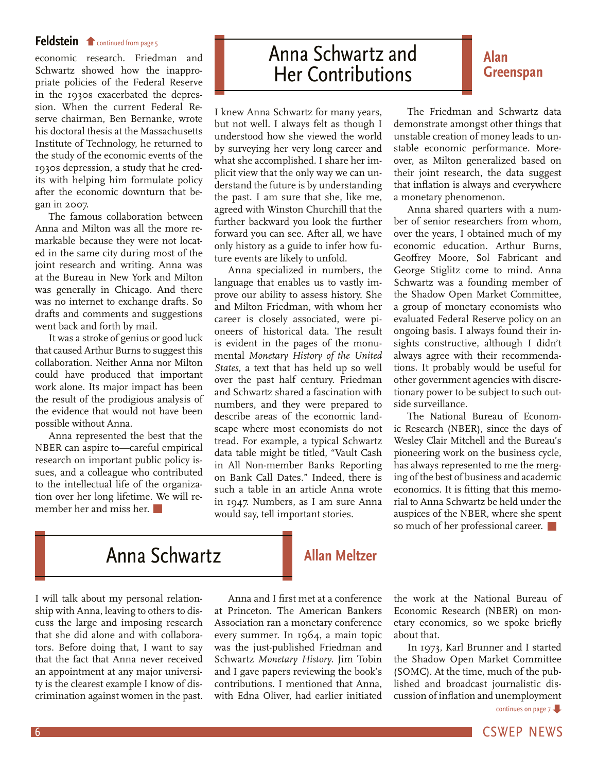#### <span id="page-5-0"></span>**Feldstein f** [continued from page 5](#page-4-0)

economic research. Friedman and Schwartz showed how the inappropriate policies of the Federal Reserve in the 1930s exacerbated the depression. When the current Federal Reserve chairman, Ben Bernanke, wrote his doctoral thesis at the Massachusetts Institute of Technology, he returned to the study of the economic events of the 1930s depression, a study that he credits with helping him formulate policy after the economic downturn that began in 2007.

The famous collaboration between Anna and Milton was all the more remarkable because they were not located in the same city during most of the joint research and writing. Anna was at the Bureau in New York and Milton was generally in Chicago. And there was no internet to exchange drafts. So drafts and comments and suggestions went back and forth by mail.

It was a stroke of genius or good luck that caused Arthur Burns to suggest this collaboration. Neither Anna nor Milton could have produced that important work alone. Its major impact has been the result of the prodigious analysis of the evidence that would not have been possible without Anna.

Anna represented the best that the NBER can aspire to—careful empirical research on important public policy issues, and a colleague who contributed to the intellectual life of the organization over her long lifetime. We will remember her and miss her.

# Anna Schwartz and Her Contributions

I knew Anna Schwartz for many years, but not well. I always felt as though I understood how she viewed the world by surveying her very long career and what she accomplished. I share her implicit view that the only way we can understand the future is by understanding the past. I am sure that she, like me, agreed with Winston Churchill that the further backward you look the further forward you can see. After all, we have only history as a guide to infer how future events are likely to unfold.

Anna specialized in numbers, the language that enables us to vastly improve our ability to assess history. She and Milton Friedman, with whom her career is closely associated, were pioneers of historical data. The result is evident in the pages of the monumental *Monetary History of the United States,* a text that has held up so well over the past half century. Friedman and Schwartz shared a fascination with numbers, and they were prepared to describe areas of the economic landscape where most economists do not tread. For example, a typical Schwartz data table might be titled, "Vault Cash in All Non-member Banks Reporting on Bank Call Dates." Indeed, there is such a table in an article Anna wrote in 1947. Numbers, as I am sure Anna would say, tell important stories.

The Friedman and Schwartz data demonstrate amongst other things that unstable creation of money leads to unstable economic performance. Moreover, as Milton generalized based on their joint research, the data suggest that inflation is always and everywhere a monetary phenomenon.

**Alan** 

**Greenspan**

Anna shared quarters with a number of senior researchers from whom, over the years, I obtained much of my economic education. Arthur Burns, Geoffrey Moore, Sol Fabricant and George Stiglitz come to mind. Anna Schwartz was a founding member of the Shadow Open Market Committee, a group of monetary economists who evaluated Federal Reserve policy on an ongoing basis. I always found their insights constructive, although I didn't always agree with their recommendations. It probably would be useful for other government agencies with discretionary power to be subject to such outside surveillance.

The National Bureau of Economic Research (NBER), since the days of Wesley Clair Mitchell and the Bureau's pioneering work on the business cycle, has always represented to me the merging of the best of business and academic economics. It is fitting that this memorial to Anna Schwartz be held under the auspices of the NBER, where she spent so much of her professional career.

# Anna Schwartz

I will talk about my personal relationship with Anna, leaving to others to discuss the large and imposing research that she did alone and with collaborators. Before doing that, I want to say that the fact that Anna never received an appointment at any major university is the clearest example I know of discrimination against women in the past.

Anna and I first met at a conference at Princeton. The American Bankers Association ran a monetary conference every summer. In 1964, a main topic was the just-published Friedman and Schwartz *Monetary History.* Jim Tobin and I gave papers reviewing the book's contributions. I mentioned that Anna, with Edna Oliver, had earlier initiated

**Allan Meltzer**

the work at the National Bureau of Economic Research (NBER) on monetary economics, so we spoke briefly about that.

In 1973, Karl Brunner and I started the Shadow Open Market Committee (SOMC). At the time, much of the published and broadcast journalistic discussion of inflation and unemployment

[continues on page 7](#page-6-0)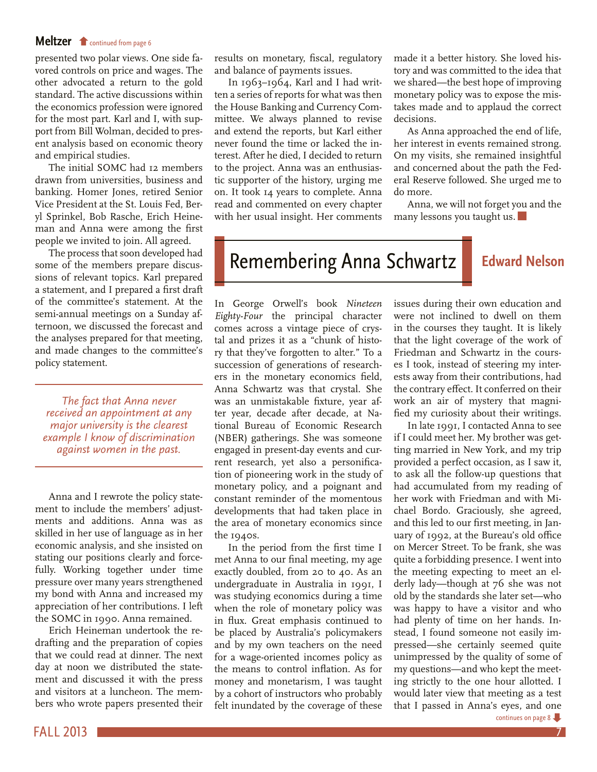#### <span id="page-6-0"></span>**Meltzer f** [continued from page 6](#page-5-0)

presented two polar views. One side favored controls on price and wages. The other advocated a return to the gold standard. The active discussions within the economics profession were ignored for the most part. Karl and I, with support from Bill Wolman, decided to present analysis based on economic theory and empirical studies.

The initial SOMC had 12 members drawn from universities, business and banking. Homer Jones, retired Senior Vice President at the St. Louis Fed, Beryl Sprinkel, Bob Rasche, Erich Heineman and Anna were among the first people we invited to join. All agreed.

The process that soon developed had some of the members prepare discussions of relevant topics. Karl prepared a statement, and I prepared a first draft of the committee's statement. At the semi-annual meetings on a Sunday afternoon, we discussed the forecast and the analyses prepared for that meeting, and made changes to the committee's policy statement.

*The fact that Anna never received an appointment at any major university is the clearest example I know of discrimination against women in the past.*

Anna and I rewrote the policy statement to include the members' adjustments and additions. Anna was as skilled in her use of language as in her economic analysis, and she insisted on stating our positions clearly and forcefully. Working together under time pressure over many years strengthened my bond with Anna and increased my appreciation of her contributions. I left the SOMC in 1990. Anna remained.

Erich Heineman undertook the redrafting and the preparation of copies that we could read at dinner. The next day at noon we distributed the statement and discussed it with the press and visitors at a luncheon. The members who wrote papers presented their

results on monetary, fiscal, regulatory and balance of payments issues.

In 1963–1964, Karl and I had written a series of reports for what was then the House Banking and Currency Committee. We always planned to revise and extend the reports, but Karl either never found the time or lacked the interest. After he died, I decided to return to the project. Anna was an enthusiastic supporter of the history, urging me on. It took 14 years to complete. Anna read and commented on every chapter with her usual insight. Her comments made it a better history. She loved history and was committed to the idea that we shared—the best hope of improving monetary policy was to expose the mistakes made and to applaud the correct decisions.

As Anna approached the end of life, her interest in events remained strong. On my visits, she remained insightful and concerned about the path the Federal Reserve followed. She urged me to do more.

Anna, we will not forget you and the many lessons you taught us.

# Remembering Anna Schwartz **Edward Nelson**

In George Orwell's book *Nineteen Eighty-Four* the principal character comes across a vintage piece of crystal and prizes it as a "chunk of history that they've forgotten to alter." To a succession of generations of researchers in the monetary economics field, Anna Schwartz was that crystal. She was an unmistakable fixture, year after year, decade after decade, at National Bureau of Economic Research (NBER) gatherings. She was someone engaged in present-day events and current research, yet also a personification of pioneering work in the study of monetary policy, and a poignant and constant reminder of the momentous developments that had taken place in the area of monetary economics since the 1940s.

In the period from the first time I met Anna to our final meeting, my age exactly doubled, from 20 to 40. As an undergraduate in Australia in 1991, I was studying economics during a time when the role of monetary policy was in flux. Great emphasis continued to be placed by Australia's policymakers and by my own teachers on the need for a wage-oriented incomes policy as the means to control inflation. As for money and monetarism, I was taught by a cohort of instructors who probably felt inundated by the coverage of these

issues during their own education and were not inclined to dwell on them in the courses they taught. It is likely that the light coverage of the work of Friedman and Schwartz in the courses I took, instead of steering my interests away from their contributions, had the contrary effect. It conferred on their work an air of mystery that magnified my curiosity about their writings.

In late 1991, I contacted Anna to see if I could meet her. My brother was getting married in New York, and my trip provided a perfect occasion, as I saw it, to ask all the follow-up questions that had accumulated from my reading of her work with Friedman and with Michael Bordo. Graciously, she agreed, and this led to our first meeting, in January of 1992, at the Bureau's old office on Mercer Street. To be frank, she was quite a forbidding presence. I went into the meeting expecting to meet an elderly lady—though at 76 she was not old by the standards she later set—who was happy to have a visitor and who had plenty of time on her hands. Instead, I found someone not easily impressed—she certainly seemed quite unimpressed by the quality of some of my questions—and who kept the meeting strictly to the one hour allotted. I would later view that meeting as a test that I passed in Anna's eyes, and one [continues on page 8](#page-7-0)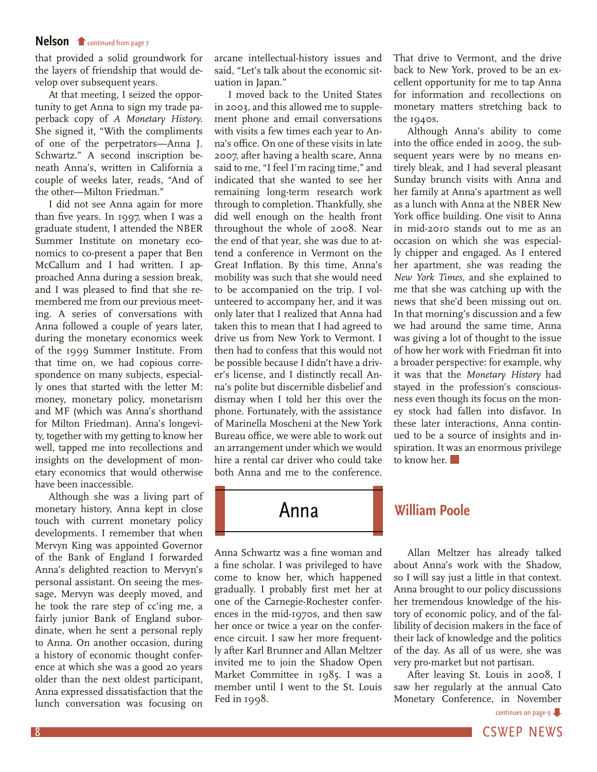#### <span id="page-7-0"></span>**Nelson C** [continued from page 7](#page-6-0)

that provided a solid groundwork for the layers of friendship that would develop over subsequent years.

At that meeting, I seized the opportunity to get Anna to sign my trade paperback copy of *A Monetary History.*  She signed it, "With the compliments of one of the perpetrators—Anna J. Schwartz." A second inscription beneath Anna's, written in California a couple of weeks later, reads, "And of the other—Milton Friedman."

I did not see Anna again for more than five years. In 1997, when I was a graduate student, I attended the NBER Summer Institute on monetary economics to co-present a paper that Ben McCallum and I had written. I approached Anna during a session break, and I was pleased to find that she remembered me from our previous meeting. A series of conversations with Anna followed a couple of years later, during the monetary economics week of the 1999 Summer Institute. From that time on, we had copious correspondence on many subjects, especially ones that started with the letter M: money, monetary policy, monetarism and MF (which was Anna's shorthand for Milton Friedman). Anna's longevity, together with my getting to know her well, tapped me into recollections and insights on the development of monetary economics that would otherwise have been inaccessible.

Although she was a living part of monetary history, Anna kept in close touch with current monetary policy developments. I remember that when Mervyn King was appointed Governor of the Bank of England I forwarded Anna's delighted reaction to Mervyn's personal assistant. On seeing the message, Mervyn was deeply moved, and he took the rare step of cc'ing me, a fairly junior Bank of England subordinate, when he sent a personal reply to Anna. On another occasion, during a history of economic thought conference at which she was a good 20 years older than the next oldest participant, Anna expressed dissatisfaction that the lunch conversation was focusing on

arcane intellectual-history issues and said, "Let's talk about the economic situation in Japan."

I moved back to the United States in 2003, and this allowed me to supplement phone and email conversations with visits a few times each year to Anna's office. On one of these visits in late 2007, after having a health scare, Anna said to me, "I feel I'm racing time," and indicated that she wanted to see her remaining long-term research work through to completion. Thankfully, she did well enough on the health front throughout the whole of 2008. Near the end of that year, she was due to attend a conference in Vermont on the Great Inflation. By this time, Anna's mobility was such that she would need to be accompanied on the trip. I volunteered to accompany her, and it was only later that I realized that Anna had taken this to mean that I had agreed to drive us from New York to Vermont. I then had to confess that this would not be possible because I didn't have a driver's license, and I distinctly recall Anna's polite but discernible disbelief and dismay when I told her this over the phone. Fortunately, with the assistance of Marinella Moscheni at the New York Bureau office, we were able to work out an arrangement under which we would hire a rental car driver who could take both Anna and me to the conference.

Anna Schwartz was a fine woman and a fine scholar. I was privileged to have come to know her, which happened gradually. I probably first met her at one of the Carnegie-Rochester conferences in the mid-1970s, and then saw her once or twice a year on the conference circuit. I saw her more frequently after Karl Brunner and Allan Meltzer invited me to join the Shadow Open Market Committee in 1985. I was a member until I went to the St. Louis Fed in 1998.

That drive to Vermont, and the drive back to New York, proved to be an excellent opportunity for me to tap Anna for information and recollections on monetary matters stretching back to the 1940s.

Although Anna's ability to come into the office ended in 2009, the subsequent years were by no means entirely bleak, and I had several pleasant Sunday brunch visits with Anna and her family at Anna's apartment as well as a lunch with Anna at the NBER New York office building. One visit to Anna in mid-2010 stands out to me as an occasion on which she was especially chipper and engaged. As I entered her apartment, she was reading the *New York Times,* and she explained to me that she was catching up with the news that she'd been missing out on. In that morning's discussion and a few we had around the same time, Anna was giving a lot of thought to the issue of how her work with Friedman fit into a broader perspective: for example, why it was that the *Monetary History* had stayed in the profession's consciousness even though its focus on the money stock had fallen into disfavor. In these later interactions, Anna continued to be a source of insights and inspiration. It was an enormous privilege to know her.

#### Anna **William Poole**

Allan Meltzer has already talked about Anna's work with the Shadow, so I will say just a little in that context. Anna brought to our policy discussions her tremendous knowledge of the history of economic policy, and of the fallibility of decision makers in the face of their lack of knowledge and the politics of the day. As all of us were, she was very pro-market but not partisan.

After leaving St. Louis in 2008, I saw her regularly at the annual Cato Monetary Conference, in November

[continues on page 9](#page-8-0)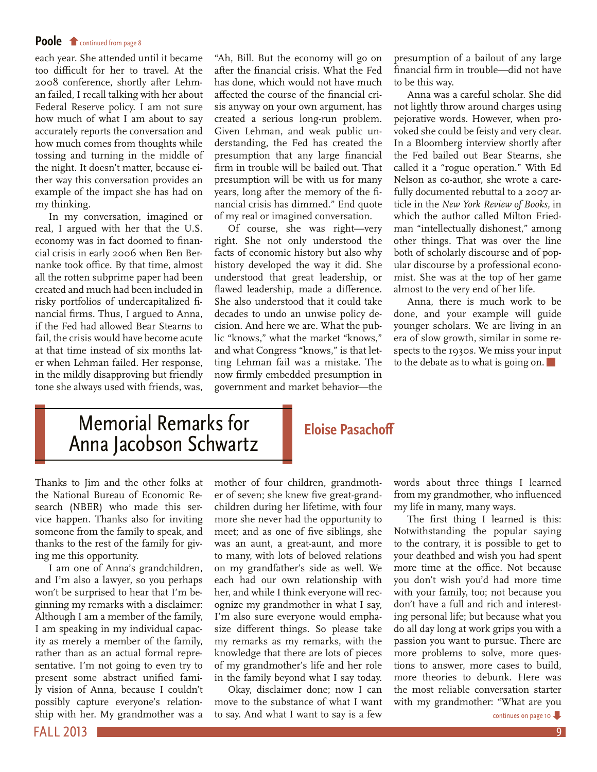#### <span id="page-8-0"></span>**Poole f** [continued from page 8](#page-7-0)

each year. She attended until it became too difficult for her to travel. At the 2008 conference, shortly after Lehman failed, I recall talking with her about Federal Reserve policy. I am not sure how much of what I am about to say accurately reports the conversation and how much comes from thoughts while tossing and turning in the middle of the night. It doesn't matter, because either way this conversation provides an example of the impact she has had on my thinking.

In my conversation, imagined or real, I argued with her that the U.S. economy was in fact doomed to financial crisis in early 2006 when Ben Bernanke took office. By that time, almost all the rotten subprime paper had been created and much had been included in risky portfolios of undercapitalized financial firms. Thus, I argued to Anna, if the Fed had allowed Bear Stearns to fail, the crisis would have become acute at that time instead of six months later when Lehman failed. Her response, in the mildly disapproving but friendly tone she always used with friends, was,

"Ah, Bill. But the economy will go on after the financial crisis. What the Fed has done, which would not have much affected the course of the financial crisis anyway on your own argument, has created a serious long-run problem. Given Lehman, and weak public understanding, the Fed has created the presumption that any large financial firm in trouble will be bailed out. That presumption will be with us for many years, long after the memory of the financial crisis has dimmed." End quote of my real or imagined conversation.

Of course, she was right—very right. She not only understood the facts of economic history but also why history developed the way it did. She understood that great leadership, or flawed leadership, made a difference. She also understood that it could take decades to undo an unwise policy decision. And here we are. What the public "knows," what the market "knows," and what Congress "knows," is that letting Lehman fail was a mistake. The now firmly embedded presumption in government and market behavior—the

presumption of a bailout of any large financial firm in trouble—did not have to be this way.

Anna was a careful scholar. She did not lightly throw around charges using pejorative words. However, when provoked she could be feisty and very clear. In a Bloomberg interview shortly after the Fed bailed out Bear Stearns, she called it a "rogue operation." With Ed Nelson as co-author, she wrote a carefully documented rebuttal to a 2007 article in the *New York Review of Books,* in which the author called Milton Friedman "intellectually dishonest," among other things. That was over the line both of scholarly discourse and of popular discourse by a professional economist. She was at the top of her game almost to the very end of her life.

Anna, there is much work to be done, and your example will guide younger scholars. We are living in an era of slow growth, similar in some respects to the 1930s. We miss your input to the debate as to what is going on.

# Memorial Remarks for Anna Jacobson Schwartz

#### **Eloise Pasachoff**

Thanks to Jim and the other folks at the National Bureau of Economic Research (NBER) who made this service happen. Thanks also for inviting someone from the family to speak, and thanks to the rest of the family for giving me this opportunity.

I am one of Anna's grandchildren, and I'm also a lawyer, so you perhaps won't be surprised to hear that I'm beginning my remarks with a disclaimer: Although I am a member of the family, I am speaking in my individual capacity as merely a member of the family, rather than as an actual formal representative. I'm not going to even try to present some abstract unified family vision of Anna, because I couldn't possibly capture everyone's relationship with her. My grandmother was a

mother of four children, grandmother of seven; she knew five great-grandchildren during her lifetime, with four more she never had the opportunity to meet; and as one of five siblings, she was an aunt, a great-aunt, and more to many, with lots of beloved relations on my grandfather's side as well. We each had our own relationship with her, and while I think everyone will recognize my grandmother in what I say, I'm also sure everyone would emphasize different things. So please take my remarks as my remarks, with the knowledge that there are lots of pieces of my grandmother's life and her role in the family beyond what I say today.

Okay, disclaimer done; now I can move to the substance of what I want to say. And what I want to say is a few

words about three things I learned from my grandmother, who influenced my life in many, many ways.

The first thing I learned is this: Notwithstanding the popular saying to the contrary, it is possible to get to your deathbed and wish you had spent more time at the office. Not because you don't wish you'd had more time with your family, too; not because you don't have a full and rich and interesting personal life; but because what you do all day long at work grips you with a passion you want to pursue. There are more problems to solve, more questions to answer, more cases to build, more theories to debunk. Here was the most reliable conversation starter with my grandmother: "What are you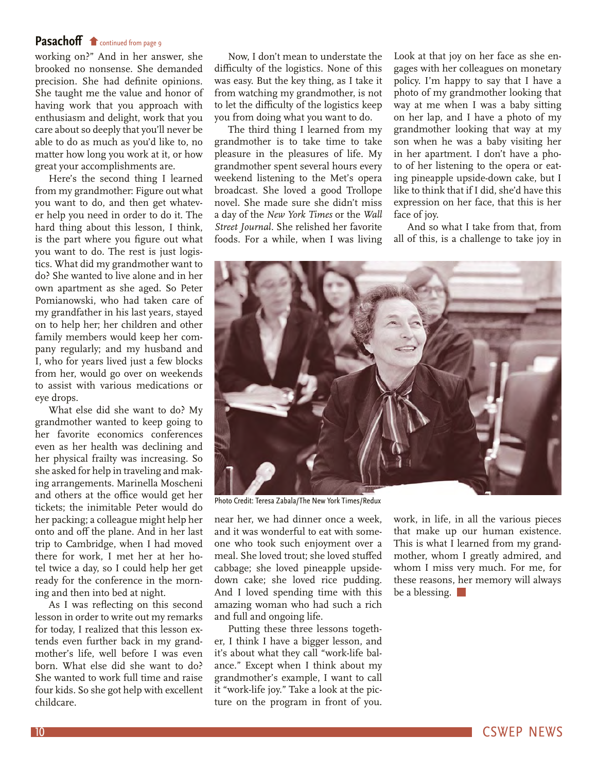#### <span id="page-9-0"></span>[Pasachoff](#page-8-0) **f** continued from page 9

working on?" And in her answer, she brooked no nonsense. She demanded precision. She had definite opinions. She taught me the value and honor of having work that you approach with enthusiasm and delight, work that you care about so deeply that you'll never be able to do as much as you'd like to, no matter how long you work at it, or how great your accomplishments are.

Here's the second thing I learned from my grandmother: Figure out what you want to do, and then get whatever help you need in order to do it. The hard thing about this lesson, I think, is the part where you figure out what you want to do. The rest is just logistics. What did my grandmother want to do? She wanted to live alone and in her own apartment as she aged. So Peter Pomianowski, who had taken care of my grandfather in his last years, stayed on to help her; her children and other family members would keep her company regularly; and my husband and I, who for years lived just a few blocks from her, would go over on weekends to assist with various medications or eye drops.

What else did she want to do? My grandmother wanted to keep going to her favorite economics conferences even as her health was declining and her physical frailty was increasing. So she asked for help in traveling and making arrangements. Marinella Moscheni and others at the office would get her tickets; the inimitable Peter would do her packing; a colleague might help her onto and off the plane. And in her last trip to Cambridge, when I had moved there for work, I met her at her hotel twice a day, so I could help her get ready for the conference in the morning and then into bed at night.

As I was reflecting on this second lesson in order to write out my remarks for today, I realized that this lesson extends even further back in my grandmother's life, well before I was even born. What else did she want to do? She wanted to work full time and raise four kids. So she got help with excellent childcare.

Now, I don't mean to understate the difficulty of the logistics. None of this was easy. But the key thing, as I take it from watching my grandmother, is not to let the difficulty of the logistics keep you from doing what you want to do.

The third thing I learned from my grandmother is to take time to take pleasure in the pleasures of life. My grandmother spent several hours every weekend listening to the Met's opera broadcast. She loved a good Trollope novel. She made sure she didn't miss a day of the *New York Times* or the *Wall Street Journal.* She relished her favorite foods. For a while, when I was living Look at that joy on her face as she engages with her colleagues on monetary policy. I'm happy to say that I have a photo of my grandmother looking that way at me when I was a baby sitting on her lap, and I have a photo of my grandmother looking that way at my son when he was a baby visiting her in her apartment. I don't have a photo of her listening to the opera or eating pineapple upside-down cake, but I like to think that if I did, she'd have this expression on her face, that this is her face of joy.

And so what I take from that, from all of this, is a challenge to take joy in



Photo Credit: Teresa Zabala/The New York Times/Redux

near her, we had dinner once a week, and it was wonderful to eat with someone who took such enjoyment over a meal. She loved trout; she loved stuffed cabbage; she loved pineapple upsidedown cake; she loved rice pudding. And I loved spending time with this amazing woman who had such a rich and full and ongoing life.

Putting these three lessons together, I think I have a bigger lesson, and it's about what they call "work-life balance." Except when I think about my grandmother's example, I want to call it "work-life joy." Take a look at the picture on the program in front of you.

work, in life, in all the various pieces that make up our human existence. This is what I learned from my grandmother, whom I greatly admired, and whom I miss very much. For me, for these reasons, her memory will always be a blessing.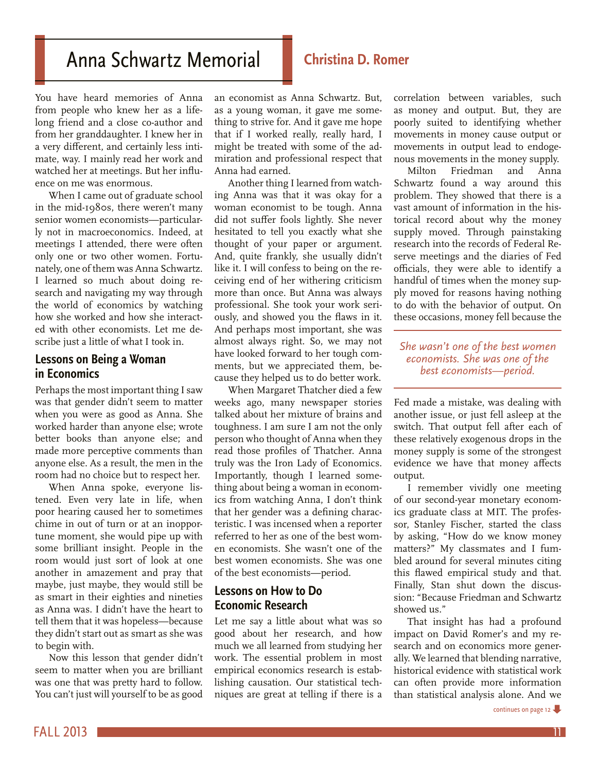# <span id="page-10-0"></span>Anna Schwartz Memorial **Christina D. Romer**

You have heard memories of Anna from people who knew her as a lifelong friend and a close co-author and from her granddaughter. I knew her in a very different, and certainly less intimate, way. I mainly read her work and watched her at meetings. But her influence on me was enormous.

When I came out of graduate school in the mid-1980s, there weren't many senior women economists—particularly not in macroeconomics. Indeed, at meetings I attended, there were often only one or two other women. Fortunately, one of them was Anna Schwartz. I learned so much about doing research and navigating my way through the world of economics by watching how she worked and how she interacted with other economists. Let me describe just a little of what I took in.

#### **Lessons on Being a Woman in Economics**

Perhaps the most important thing I saw was that gender didn't seem to matter when you were as good as Anna. She worked harder than anyone else; wrote better books than anyone else; and made more perceptive comments than anyone else. As a result, the men in the room had no choice but to respect her.

When Anna spoke, everyone listened. Even very late in life, when poor hearing caused her to sometimes chime in out of turn or at an inopportune moment, she would pipe up with some brilliant insight. People in the room would just sort of look at one another in amazement and pray that maybe, just maybe, they would still be as smart in their eighties and nineties as Anna was. I didn't have the heart to tell them that it was hopeless—because they didn't start out as smart as she was to begin with.

Now this lesson that gender didn't seem to matter when you are brilliant was one that was pretty hard to follow. You can't just will yourself to be as good

an economist as Anna Schwartz. But, as a young woman, it gave me something to strive for. And it gave me hope that if I worked really, really hard, I might be treated with some of the admiration and professional respect that Anna had earned.

Another thing I learned from watching Anna was that it was okay for a woman economist to be tough. Anna did not suffer fools lightly. She never hesitated to tell you exactly what she thought of your paper or argument. And, quite frankly, she usually didn't like it. I will confess to being on the receiving end of her withering criticism more than once. But Anna was always professional. She took your work seriously, and showed you the flaws in it. And perhaps most important, she was almost always right. So, we may not have looked forward to her tough comments, but we appreciated them, because they helped us to do better work.

When Margaret Thatcher died a few weeks ago, many newspaper stories talked about her mixture of brains and toughness. I am sure I am not the only person who thought of Anna when they read those profiles of Thatcher. Anna truly was the Iron Lady of Economics. Importantly, though I learned something about being a woman in economics from watching Anna, I don't think that her gender was a defining characteristic. I was incensed when a reporter referred to her as one of the best women economists. She wasn't one of the best women economists. She was one of the best economists—period.

#### **Lessons on How to Do Economic Research**

Let me say a little about what was so good about her research, and how much we all learned from studying her work. The essential problem in most empirical economics research is establishing causation. Our statistical techniques are great at telling if there is a

correlation between variables, such as money and output. But, they are poorly suited to identifying whether movements in money cause output or movements in output lead to endogenous movements in the money supply.

Milton Friedman and Anna Schwartz found a way around this problem. They showed that there is a vast amount of information in the historical record about why the money supply moved. Through painstaking research into the records of Federal Reserve meetings and the diaries of Fed officials, they were able to identify a handful of times when the money supply moved for reasons having nothing to do with the behavior of output. On these occasions, money fell because the

*She wasn't one of the best women economists. She was one of the best economists—period.*

Fed made a mistake, was dealing with another issue, or just fell asleep at the switch. That output fell after each of these relatively exogenous drops in the money supply is some of the strongest evidence we have that money affects output.

I remember vividly one meeting of our second-year monetary economics graduate class at MIT. The professor, Stanley Fischer, started the class by asking, "How do we know money matters?" My classmates and I fumbled around for several minutes citing this flawed empirical study and that. Finally, Stan shut down the discussion: "Because Friedman and Schwartz showed us.'

That insight has had a profound impact on David Romer's and my research and on economics more generally. We learned that blending narrative, historical evidence with statistical work can often provide more information than statistical analysis alone. And we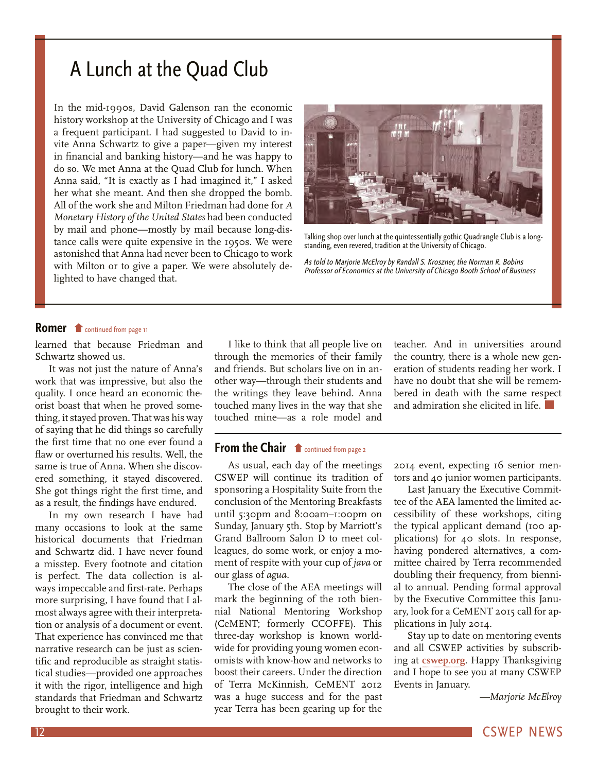# <span id="page-11-0"></span>A Lunch at the Quad Club

In the mid-1990s, David Galenson ran the economic history workshop at the University of Chicago and I was a frequent participant. I had suggested to David to invite Anna Schwartz to give a paper—given my interest in financial and banking history—and he was happy to do so. We met Anna at the Quad Club for lunch. When Anna said, "It is exactly as I had imagined it," I asked her what she meant. And then she dropped the bomb. All of the work she and Milton Friedman had done for *A Monetary History of the United States* had been conducted by mail and phone—mostly by mail because long-distance calls were quite expensive in the 1950s. We were astonished that Anna had never been to Chicago to work with Milton or to give a paper. We were absolutely delighted to have changed that.



Talking shop over lunch at the quintessentially gothic Quadrangle Club is a longstanding, even revered, tradition at the University of Chicago.

As told to Marjorie McElroy by Randall S. Kroszner, the Norman R. Bobins Professor of Economics at the University of Chicago Booth School of Business

#### **Romer f** [continued from page 11](#page-10-0)

learned that because Friedman and Schwartz showed us.

It was not just the nature of Anna's work that was impressive, but also the quality. I once heard an economic theorist boast that when he proved something, it stayed proven. That was his way of saying that he did things so carefully the first time that no one ever found a flaw or overturned his results. Well, the same is true of Anna. When she discovered something, it stayed discovered. She got things right the first time, and as a result, the findings have endured.

In my own research I have had many occasions to look at the same historical documents that Friedman and Schwartz did. I have never found a misstep. Every footnote and citation is perfect. The data collection is always impeccable and first-rate. Perhaps more surprising, I have found that I almost always agree with their interpretation or analysis of a document or event. That experience has convinced me that narrative research can be just as scientific and reproducible as straight statistical studies—provided one approaches it with the rigor, intelligence and high standards that Friedman and Schwartz brought to their work.

I like to think that all people live on through the memories of their family and friends. But scholars live on in another way—through their students and the writings they leave behind. Anna touched many lives in the way that she touched mine—as a role model and

#### **From the Chair f** continued from page 2

[As usual, each day of the meetings](#page-1-0)  CSWEP will continue its tradition of sponsoring a Hospitality Suite from the conclusion of the Mentoring Breakfasts until 5:30pm and 8:00am–1:00pm on Sunday, January 5th. Stop by Marriott's Grand Ballroom Salon D to meet colleagues, do some work, or enjoy a moment of respite with your cup of *java* or our glass of *agua.*

The close of the AEA meetings will mark the beginning of the 10th biennial National Mentoring Workshop (CeMENT; formerly CCOFFE). This three-day workshop is known worldwide for providing young women economists with know-how and networks to boost their careers. Under the direction of Terra McKinnish, CeMENT 2012 was a huge success and for the past year Terra has been gearing up for the teacher. And in universities around the country, there is a whole new generation of students reading her work. I have no doubt that she will be remembered in death with the same respect and admiration she elicited in life.

2014 event, expecting 16 senior mentors and 40 junior women participants.

Last January the Executive Committee of the AEA lamented the limited accessibility of these workshops, citing the typical applicant demand (100 applications) for 40 slots. In response, having pondered alternatives, a committee chaired by Terra recommended doubling their frequency, from biennial to annual. Pending formal approval by the Executive Committee this January, look for a CeMENT 2015 call for applications in July 2014.

Stay up to date on mentoring events and all CSWEP activities by subscribing at **[cswep.org](https://www.aeaweb.org/committees/cswep/members/index.php?new)**. Happy Thanksgiving and I hope to see you at many CSWEP Events in January.

*—Marjorie McElroy*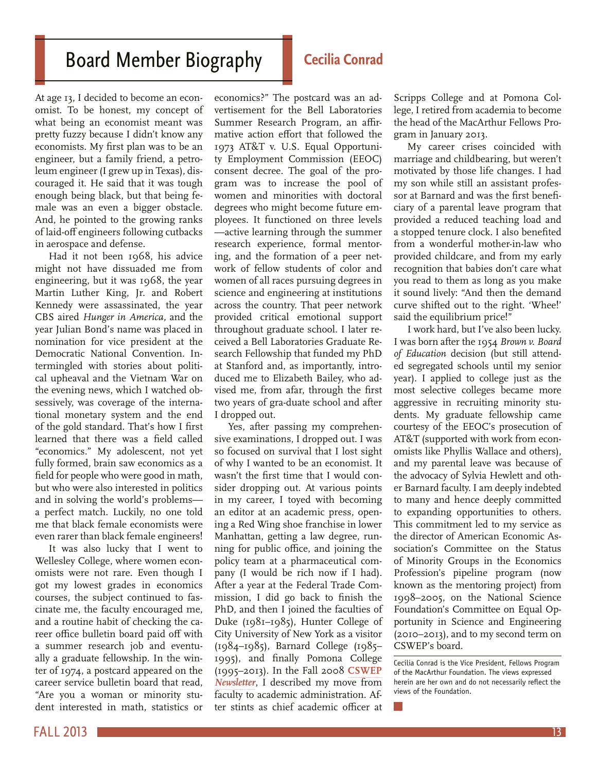# <span id="page-12-0"></span>Board Member Biography

#### **Cecilia Conrad**

At age 13, I decided to become an economist. To be honest, my concept of what being an economist meant was pretty fuzzy because I didn't know any economists. My first plan was to be an engineer, but a family friend, a petroleum engineer (I grew up in Texas), discouraged it. He said that it was tough enough being black, but that being female was an even a bigger obstacle. And, he pointed to the growing ranks of laid-off engineers following cutbacks in aerospace and defense.

Had it not been 1968, his advice might not have dissuaded me from engineering, but it was 1968, the year Martin Luther King, Jr. and Robert Kennedy were assassinated, the year CBS aired *Hunger in America,* and the year Julian Bond's name was placed in nomination for vice president at the Democratic National Convention. Intermingled with stories about political upheaval and the Vietnam War on the evening news, which I watched obsessively, was coverage of the international monetary system and the end of the gold standard. That's how I first learned that there was a field called "economics." My adolescent, not yet fully formed, brain saw economics as a field for people who were good in math, but who were also interested in politics and in solving the world's problems a perfect match. Luckily, no one told me that black female economists were even rarer than black female engineers!

It was also lucky that I went to Wellesley College, where women economists were not rare. Even though I got my lowest grades in economics courses, the subject continued to fascinate me, the faculty encouraged me, and a routine habit of checking the career office bulletin board paid off with a summer research job and eventually a graduate fellowship. In the winter of 1974, a postcard appeared on the career service bulletin board that read, "Are you a woman or minority student interested in math, statistics or

economics?" The postcard was an advertisement for the Bell Laboratories Summer Research Program, an affirmative action effort that followed the 1973 AT&T v. U.S. Equal Opportunity Employment Commission (EEOC) consent decree. The goal of the program was to increase the pool of women and minorities with doctoral degrees who might become future employees. It functioned on three levels —active learning through the summer research experience, formal mentoring, and the formation of a peer network of fellow students of color and women of all races pursuing degrees in science and engineering at institutions across the country. That peer network provided critical emotional support throughout graduate school. I later received a Bell Laboratories Graduate Research Fellowship that funded my PhD at Stanford and, as importantly, introduced me to Elizabeth Bailey, who advised me, from afar, through the first two years of gra-duate school and after I dropped out.

Yes, after passing my comprehensive examinations, I dropped out. I was so focused on survival that I lost sight of why I wanted to be an economist. It wasn't the first time that I would consider dropping out. At various points in my career, I toyed with becoming an editor at an academic press, opening a Red Wing shoe franchise in lower Manhattan, getting a law degree, running for public office, and joining the policy team at a pharmaceutical company (I would be rich now if I had). After a year at the Federal Trade Commission, I did go back to finish the PhD, and then I joined the faculties of Duke (1981–1985), Hunter College of City University of New York as a visitor (1984–1985), Barnard College (1985– 1995), and finally Pomona College (1995–2013). In the Fall 2008 **[CSWEP](http://www.aeaweb.org/committees/cswep/newsletters/CSWEP_nsltr_Fall_2008.pdf)**  *[Newsletter](http://www.aeaweb.org/committees/cswep/newsletters/CSWEP_nsltr_Fall_2008.pdf)*, I described my move from faculty to academic administration. After stints as chief academic officer at Scripps College and at Pomona College, I retired from academia to become the head of the MacArthur Fellows Program in January 2013.

My career crises coincided with marriage and childbearing, but weren't motivated by those life changes. I had my son while still an assistant professor at Barnard and was the first beneficiary of a parental leave program that provided a reduced teaching load and a stopped tenure clock. I also benefited from a wonderful mother-in-law who provided childcare, and from my early recognition that babies don't care what you read to them as long as you make it sound lively: "And then the demand curve shifted out to the right. 'Whee!' said the equilibrium price!"

I work hard, but I've also been lucky. I was born after the 1954 *Brown v. Board of Education* decision (but still attended segregated schools until my senior year). I applied to college just as the most selective colleges became more aggressive in recruiting minority students. My graduate fellowship came courtesy of the EEOC's prosecution of AT&T (supported with work from economists like Phyllis Wallace and others), and my parental leave was because of the advocacy of Sylvia Hewlett and other Barnard faculty. I am deeply indebted to many and hence deeply committed to expanding opportunities to others. This commitment led to my service as the director of American Economic Association's Committee on the Status of Minority Groups in the Economics Profession's pipeline program (now known as the mentoring project) from 1998–2005, on the National Science Foundation's Committee on Equal Opportunity in Science and Engineering (2010–2013), and to my second term on CSWEP's board.

Cecilia Conrad is the Vice President, Fellows Program of the MacArthur Foundation. The views expressed herein are her own and do not necessarily reflect the views of the Foundation.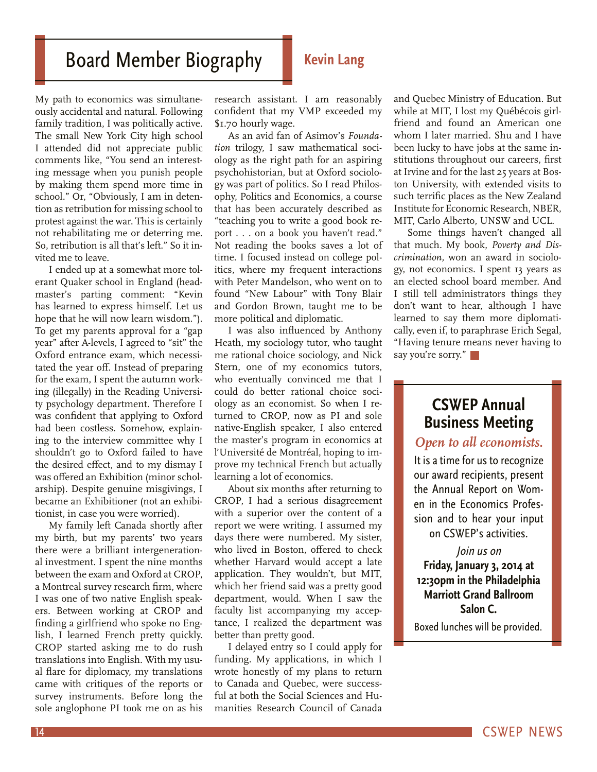# <span id="page-13-0"></span>**Board Member Biography Kevin Lang**

My path to economics was simultaneously accidental and natural. Following family tradition, I was politically active. The small New York City high school I attended did not appreciate public comments like, "You send an interesting message when you punish people by making them spend more time in school." Or, "Obviously, I am in detention as retribution for missing school to protest against the war. This is certainly not rehabilitating me or deterring me. So, retribution is all that's left." So it invited me to leave.

I ended up at a somewhat more tolerant Quaker school in England (headmaster's parting comment: "Kevin has learned to express himself. Let us hope that he will now learn wisdom."). To get my parents approval for a "gap year" after A-levels, I agreed to "sit" the Oxford entrance exam, which necessitated the year off. Instead of preparing for the exam, I spent the autumn working (illegally) in the Reading University psychology department. Therefore I was confident that applying to Oxford had been costless. Somehow, explaining to the interview committee why I shouldn't go to Oxford failed to have the desired effect, and to my dismay I was offered an Exhibition (minor scholarship). Despite genuine misgivings, I became an Exhibitioner (not an exhibitionist, in case you were worried).

My family left Canada shortly after my birth, but my parents' two years there were a brilliant intergenerational investment. I spent the nine months between the exam and Oxford at CROP, a Montreal survey research firm, where I was one of two native English speakers. Between working at CROP and finding a girlfriend who spoke no English, I learned French pretty quickly. CROP started asking me to do rush translations into English. With my usual flare for diplomacy, my translations came with critiques of the reports or survey instruments. Before long the sole anglophone PI took me on as his

research assistant. I am reasonably confident that my VMP exceeded my \$1.70 hourly wage.

As an avid fan of Asimov's *Foundation* trilogy, I saw mathematical sociology as the right path for an aspiring psychohistorian, but at Oxford sociology was part of politics. So I read Philosophy, Politics and Economics, a course that has been accurately described as "teaching you to write a good book report . . . on a book you haven't read." Not reading the books saves a lot of time. I focused instead on college politics, where my frequent interactions with Peter Mandelson, who went on to found "New Labour" with Tony Blair and Gordon Brown, taught me to be more political and diplomatic.

I was also influenced by Anthony Heath, my sociology tutor, who taught me rational choice sociology, and Nick Stern, one of my economics tutors, who eventually convinced me that I could do better rational choice sociology as an economist. So when I returned to CROP, now as PI and sole native-English speaker, I also entered the master's program in economics at l'Université de Montréal, hoping to improve my technical French but actually learning a lot of economics.

About six months after returning to CROP, I had a serious disagreement with a superior over the content of a report we were writing. I assumed my days there were numbered. My sister, who lived in Boston, offered to check whether Harvard would accept a late application. They wouldn't, but MIT, which her friend said was a pretty good department, would. When I saw the faculty list accompanying my acceptance, I realized the department was better than pretty good.

I delayed entry so I could apply for funding. My applications, in which I wrote honestly of my plans to return to Canada and Quebec, were successful at both the Social Sciences and Humanities Research Council of Canada

and Quebec Ministry of Education. But while at MIT, I lost my Québécois girlfriend and found an American one whom I later married. Shu and I have been lucky to have jobs at the same institutions throughout our careers, first at Irvine and for the last 25 years at Boston University, with extended visits to such terrific places as the New Zealand Institute for Economic Research, NBER, MIT, Carlo Alberto, UNSW and UCL.

Some things haven't changed all that much. My book, *Poverty and Discrimination,* won an award in sociology, not economics. I spent 13 years as an elected school board member. And I still tell administrators things they don't want to hear, although I have learned to say them more diplomatically, even if, to paraphrase Erich Segal, "Having tenure means never having to say you're sorry."

### **CSWEP Annual Business Meeting**

*Open to all economists.* 

It is a time for us to recognize our award recipients, present the Annual Report on Women in the Economics Profession and to hear your input on CSWEP's activities.

#### Join us on

**Friday, January 3, 2014 at 12:30pm in the Philadelphia Marriott Grand Ballroom Salon C.** 

Boxed lunches will be provided.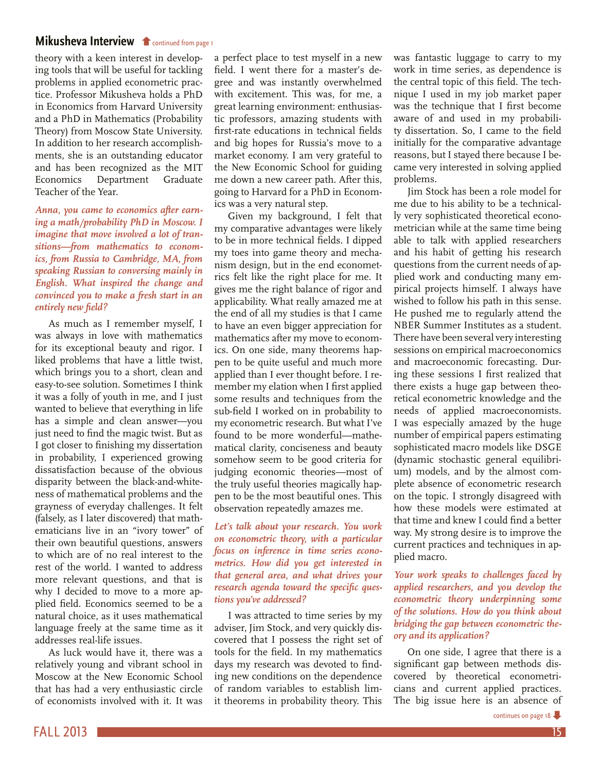#### <span id="page-14-0"></span>**[Mikusheva Interview](#page-0-0) f** continued from page 1

theory with a keen interest in developing tools that will be useful for tackling problems in applied econometric practice. Professor Mikusheva holds a PhD in Economics from Harvard University and a PhD in Mathematics (Probability Theory) from Moscow State University. In addition to her research accomplishments, she is an outstanding educator and has been recognized as the MIT Economics Department Graduate Teacher of the Year.

*Anna, you came to economics after earning a math/probability PhD in Moscow. I imagine that move involved a lot of transitions—from mathematics to economics, from Russia to Cambridge, MA, from speaking Russian to conversing mainly in English. What inspired the change and convinced you to make a fresh start in an entirely new field?*

As much as I remember myself, I was always in love with mathematics for its exceptional beauty and rigor. I liked problems that have a little twist, which brings you to a short, clean and easy-to-see solution. Sometimes I think it was a folly of youth in me, and I just wanted to believe that everything in life has a simple and clean answer—you just need to find the magic twist. But as I got closer to finishing my dissertation in probability, I experienced growing dissatisfaction because of the obvious disparity between the black-and-whiteness of mathematical problems and the grayness of everyday challenges. It felt (falsely, as I later discovered) that mathematicians live in an "ivory tower" of their own beautiful questions, answers to which are of no real interest to the rest of the world. I wanted to address more relevant questions, and that is why I decided to move to a more applied field. Economics seemed to be a natural choice, as it uses mathematical language freely at the same time as it addresses real-life issues.

As luck would have it, there was a relatively young and vibrant school in Moscow at the New Economic School that has had a very enthusiastic circle of economists involved with it. It was a perfect place to test myself in a new field. I went there for a master's degree and was instantly overwhelmed with excitement. This was, for me, a great learning environment: enthusiastic professors, amazing students with first-rate educations in technical fields and big hopes for Russia's move to a market economy. I am very grateful to the New Economic School for guiding me down a new career path. After this, going to Harvard for a PhD in Economics was a very natural step.

Given my background, I felt that my comparative advantages were likely to be in more technical fields. I dipped my toes into game theory and mechanism design, but in the end econometrics felt like the right place for me. It gives me the right balance of rigor and applicability. What really amazed me at the end of all my studies is that I came to have an even bigger appreciation for mathematics after my move to economics. On one side, many theorems happen to be quite useful and much more applied than I ever thought before. I remember my elation when I first applied some results and techniques from the sub-field I worked on in probability to my econometric research. But what I've found to be more wonderful—mathematical clarity, conciseness and beauty somehow seem to be good criteria for judging economic theories—most of the truly useful theories magically happen to be the most beautiful ones. This observation repeatedly amazes me.

*Let's talk about your research. You work on econometric theory, with a particular focus on inference in time series econometrics. How did you get interested in that general area, and what drives your research agenda toward the specific questions you've addressed?*

I was attracted to time series by my adviser, Jim Stock, and very quickly discovered that I possess the right set of tools for the field. In my mathematics days my research was devoted to finding new conditions on the dependence of random variables to establish limit theorems in probability theory. This

was fantastic luggage to carry to my work in time series, as dependence is the central topic of this field. The technique I used in my job market paper was the technique that I first become aware of and used in my probability dissertation. So, I came to the field initially for the comparative advantage reasons, but I stayed there because I became very interested in solving applied problems.

Jim Stock has been a role model for me due to his ability to be a technically very sophisticated theoretical econometrician while at the same time being able to talk with applied researchers and his habit of getting his research questions from the current needs of applied work and conducting many empirical projects himself. I always have wished to follow his path in this sense. He pushed me to regularly attend the NBER Summer Institutes as a student. There have been several very interesting sessions on empirical macroeconomics and macroeconomic forecasting. During these sessions I first realized that there exists a huge gap between theoretical econometric knowledge and the needs of applied macroeconomists. I was especially amazed by the huge number of empirical papers estimating sophisticated macro models like DSGE (dynamic stochastic general equilibrium) models, and by the almost complete absence of econometric research on the topic. I strongly disagreed with how these models were estimated at that time and knew I could find a better way. My strong desire is to improve the current practices and techniques in applied macro.

#### *Your work speaks to challenges faced by applied researchers, and you develop the econometric theory underpinning some of the solutions. How do you think about bridging the gap between econometric theory and its application?*

On one side, I agree that there is a significant gap between methods discovered by theoretical econometricians and current applied practices. The big issue here is an absence of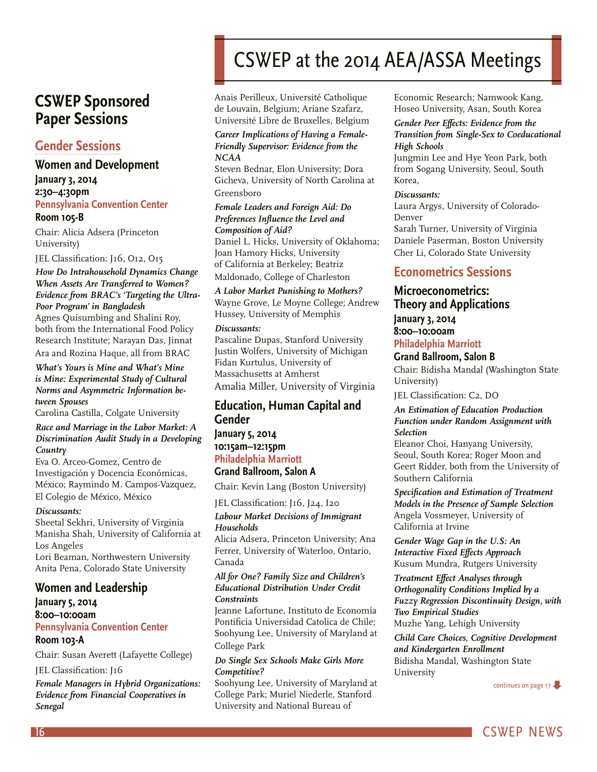# <span id="page-15-0"></span>**CSWEP Sponsored Paper Sessions**

#### **[Gender Sessions](http://www.aeaweb.org/committees/CSWEP/PDFs/2014-cswep-gender-sessions.pdf)**

#### **Women and Development January 3, 2014 2:30–4:30pm Pennsylvania Convention Center Room 105-B**

Chair: Alicia Adsera (Princeton University)

JEL Classification: J16, O12, O15

#### *How Do Intrahousehold Dynamics Change When Assets Are Transferred to Women? Evidence from BRAC's 'Targeting the Ultra-Poor Program' in Bangladesh*

Agnes Quisumbing and Shalini Roy, both from the International Food Policy Research Institute; Narayan Das, Jinnat Ara and Rozina Haque, all from BRAC

#### *What's Yours is Mine and What's Mine is Mine: Experimental Study of Cultural Norms and Asymmetric Information between Spouses*

Carolina Castilla, Colgate University

#### *Race and Marriage in the Labor Market: A Discrimination Audit Study in a Developing Country*

Eva O. Arceo-Gomez, Centro de Investigación y Docencia Económicas, México; Raymindo M. Campos-Vazquez, El Colegio de México, México

#### *Discussants:*

Sheetal Sekhri, University of Virginia Manisha Shah, University of California at Los Angeles

Lori Beaman, Northwestern University Anita Pena, Colorado State University

#### **Women and Leadership**

**January 5, 2014 8:00–10:00am Pennsylvania Convention Center Room 103-A**

Chair: Susan Averett (Lafayette College)

#### JEL Classification: J16

*Female Managers in Hybrid Organizations: Evidence from Financial Cooperatives in Senegal*

# CSWEP at the 2014 AEA/ASSA Meetings

Anais Perilleux, Université Catholique de Louvain, Belgium; Ariane Szafarz, Université Libre de Bruxelles, Belgium

#### *Career Implications of Having a Female-Friendly Supervisor: Evidence from the NCAA*

Steven Bednar, Elon University; Dora Gicheva, University of North Carolina at Greensboro

#### *Female Leaders and Foreign Aid: Do Preferences Influence the Level and Composition of Aid?*

Daniel L. Hicks, University of Oklahoma; Joan Hamory Hicks, University of California at Berkeley; Beatriz Maldonado, College of Charleston

*A Labor Market Punishing to Mothers?* Wayne Grove, Le Moyne College; Andrew Hussey, University of Memphis

#### *Discussants:*

Pascaline Dupas, Stanford University Justin Wolfers, University of Michigan Fidan Kurtulus, University of Massachusetts at Amherst Amalia Miller, University of Virginia

#### **Education, Human Capital and Gender**

#### **January 5, 2014 10:15am–12:15pm Philadelphia Marriott Grand Ballroom, Salon A**

Chair: Kevin Lang (Boston University)

JEL Classification: J16, J24, I20

#### *Labour Market Decisions of Immigrant Households*

Alicia Adsera, Princeton University; Ana Ferrer, University of Waterloo, Ontario, Canada

#### *All for One? Family Size and Children's Educational Distribution Under Credit Constraints*

Jeanne Lafortune, Instituto de Economía Pontificia Universidad Catolica de Chile; Soohyung Lee, University of Maryland at College Park

#### *Do Single Sex Schools Make Girls More Competitive?*

Soohyung Lee, University of Maryland at College Park; Muriel Niederle, Stanford University and National Bureau of

Economic Research; Namwook Kang, Hoseo University, Asan, South Korea

#### *Gender Peer Effects: Evidence from the Transition from Single-Sex to Coeducational High Schools*

Jungmin Lee and Hye Yeon Park, both from Sogang University, Seoul, South Korea,

#### *Discussants:*

Laura Argys, University of Colorado-Denver Sarah Turner, University of Virginia Daniele Paserman, Boston University Cher Li, Colorado State University

#### **Econometrics Sessions**

## **Microeconometrics: Theory and Applications**

**January 3, 2014 8:00–10:00am Philadelphia Marriott** 

#### **Grand Ballroom, Salon B**

Chair: Bidisha Mandal (Washington State University)

JEL Classification: C2, DO

#### *An Estimation of Education Production Function under Random Assignment with Selection*

Eleanor Choi, Hanyang University, Seoul, South Korea; Roger Moon and Geert Ridder, both from the University of Southern California

*Specification and Estimation of Treatment Models in the Presence of Sample Selection* Angela Vossmeyer, University of California at Irvine

*Gender Wage Gap in the U.S: An Interactive Fixed Effects Approach* Kusum Mundra, Rutgers University

#### *Treatment Effect Analyses through Orthogonality Conditions Implied by a Fuzzy Regression Discontinuity Design, with Two Empirical Studies* Muzhe Yang, Lehigh University

*Child Care Choices, Cognitive Development and Kindergarten Enrollment* Bidisha Mandal, Washington State University

[continues on page 17](#page-16-0)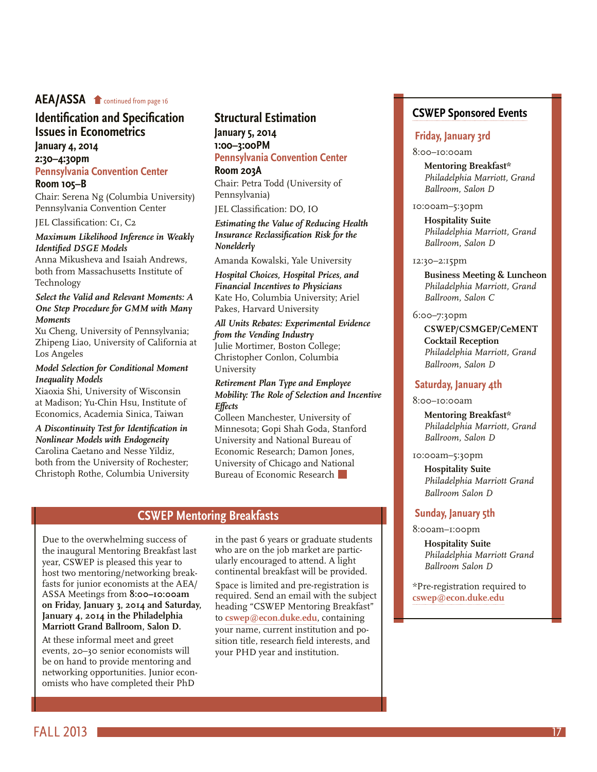#### <span id="page-16-0"></span>**AEA/ASSA f** continued from page 16

#### **[Identification and Specification](#page-15-0)  Issues in Econometrics**

#### **January 4, 2014 2:30–4:30pm Pennsylvania Convention Center**

#### **Room 105–B**

Chair: Serena Ng (Columbia University) Pennsylvania Convention Center

#### JEL Classification: C1, C2

#### *Maximum Likelihood Inference in Weakly Identified DSGE Models*

Anna Mikusheva and Isaiah Andrews, both from Massachusetts Institute of Technology

#### *Select the Valid and Relevant Moments: A One Step Procedure for GMM with Many Moments*

Xu Cheng, University of Pennsylvania; Zhipeng Liao, University of California at Los Angeles

#### *Model Selection for Conditional Moment Inequality Models*

Xiaoxia Shi, University of Wisconsin at Madison; Yu-Chin Hsu, Institute of Economics, Academia Sinica, Taiwan

*A Discontinuity Test for Identification in Nonlinear Models with Endogeneity*  Carolina Caetano and Nesse Yildiz, both from the University of Rochester; Christoph Rothe, Columbia University

#### **Structural Estimation January 5, 2014 1:00–3:00PM**

**Pennsylvania Convention Center Room 203A**

Chair: Petra Todd (University of Pennsylvania)

JEL Classification: DO, IO

#### *Estimating the Value of Reducing Health Insurance Reclassification Risk for the Nonelderly*

Amanda Kowalski, Yale University

*Hospital Choices, Hospital Prices, and Financial Incentives to Physicians*  Kate Ho, Columbia University; Ariel Pakes, Harvard University

#### *All Units Rebates: Experimental Evidence from the Vending Industry*

Julie Mortimer, Boston College; Christopher Conlon, Columbia University

#### *Retirement Plan Type and Employee Mobility: The Role of Selection and Incentive Effects*

Colleen Manchester, University of Minnesota; Gopi Shah Goda, Stanford University and National Bureau of Economic Research; Damon Jones, University of Chicago and National Bureau of Economic Research

#### **CSWEP Mentoring Breakfasts**

<span id="page-16-1"></span>Due to the overwhelming success of the inaugural Mentoring Breakfast last year, CSWEP is pleased this year to host two mentoring/networking breakfasts for junior economists at the AEA/ ASSA Meetings from **8:00–10:00am on Friday, January 3, 2014 and Saturday, January 4, 2014 in the Philadelphia Marriott Grand Ballroom, Salon D.**

At these informal meet and greet events, 20–30 senior economists will be on hand to provide mentoring and networking opportunities. Junior economists who have completed their PhD

in the past 6 years or graduate students who are on the job market are particularly encouraged to attend. A light continental breakfast will be provided.

Space is limited and pre-registration is required. Send an email with the subject heading "CSWEP Mentoring Breakfast" to **[cswep@econ.duke.edu](mailto:cswep%40econ.duke.edu?subject=)**, containing your name, current institution and position title, research field interests, and your PHD year and institution.

#### **[CSWEP Sponsored Events](http://www.aeaweb.org/committees/cswep/annual_meeting.php)**

#### **Friday, January 3rd**

#### 8:00–10:00am

**Mentoring Breakfast\*** *Philadelphia Marriott, Grand Ballroom, Salon D*

#### 10:00am–5:30pm

**Hospitality Suite** *Philadelphia Marriott, Grand Ballroom, Salon D*

#### 12:30–2:15pm

**Business Meeting & Luncheon** *Philadelphia Marriott, Grand Ballroom, Salon C*

#### 6:00–7:30pm

**CSWEP/CSMGEP/CeMENT Cocktail Reception** *Philadelphia Marriott, Grand Ballroom, Salon D*

#### **Saturday, January 4th**

#### 8:00–10:00am

**Mentoring Breakfast\*** *Philadelphia Marriott, Grand Ballroom, Salon D*

10:00am–5:30pm

**Hospitality Suite** *Philadelphia Marriott Grand Ballroom Salon D*

#### **Sunday, January 5th**

#### 8:00am–1:00pm

**Hospitality Suite** *Philadelphia Marriott Grand Ballroom Salon D*

\*Pre-registration required to **[cswep@econ.duke.edu](mailto:cswep%40econ.duke.edu?subject=)**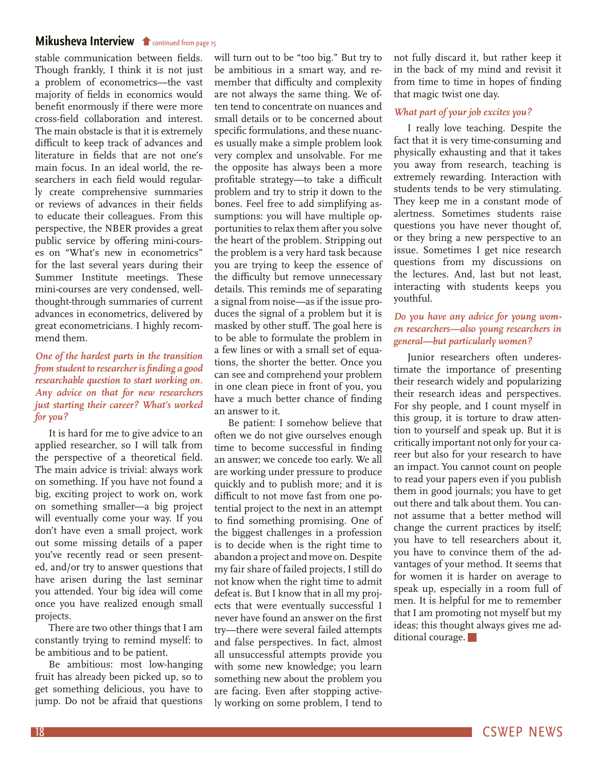#### <span id="page-17-0"></span>**[Mikusheva Interview](#page-14-0) f** continued from page 15

stable communication between fields. Though frankly, I think it is not just a problem of econometrics—the vast majority of fields in economics would benefit enormously if there were more cross-field collaboration and interest. The main obstacle is that it is extremely difficult to keep track of advances and literature in fields that are not one's main focus. In an ideal world, the researchers in each field would regularly create comprehensive summaries or reviews of advances in their fields to educate their colleagues. From this perspective, the NBER provides a great public service by offering mini-courses on "What's new in econometrics" for the last several years during their Summer Institute meetings. These mini-courses are very condensed, wellthought-through summaries of current advances in econometrics, delivered by great econometricians. I highly recommend them.

#### *One of the hardest parts in the transition from student to researcher is finding a good researchable question to start working on. Any advice on that for new researchers just starting their career? What's worked for you?*

It is hard for me to give advice to an applied researcher, so I will talk from the perspective of a theoretical field. The main advice is trivial: always work on something. If you have not found a big, exciting project to work on, work on something smaller—a big project will eventually come your way. If you don't have even a small project, work out some missing details of a paper you've recently read or seen presented, and/or try to answer questions that have arisen during the last seminar you attended. Your big idea will come once you have realized enough small projects.

There are two other things that I am constantly trying to remind myself: to be ambitious and to be patient.

Be ambitious: most low-hanging fruit has already been picked up, so to get something delicious, you have to jump. Do not be afraid that questions

will turn out to be "too big." But try to be ambitious in a smart way, and remember that difficulty and complexity are not always the same thing. We often tend to concentrate on nuances and small details or to be concerned about specific formulations, and these nuances usually make a simple problem look very complex and unsolvable. For me the opposite has always been a more profitable strategy—to take a difficult problem and try to strip it down to the bones. Feel free to add simplifying assumptions: you will have multiple opportunities to relax them after you solve the heart of the problem. Stripping out the problem is a very hard task because you are trying to keep the essence of the difficulty but remove unnecessary details. This reminds me of separating a signal from noise—as if the issue produces the signal of a problem but it is masked by other stuff. The goal here is to be able to formulate the problem in a few lines or with a small set of equations, the shorter the better. Once you can see and comprehend your problem in one clean piece in front of you, you have a much better chance of finding an answer to it.

Be patient: I somehow believe that often we do not give ourselves enough time to become successful in finding an answer; we concede too early. We all are working under pressure to produce quickly and to publish more; and it is difficult to not move fast from one potential project to the next in an attempt to find something promising. One of the biggest challenges in a profession is to decide when is the right time to abandon a project and move on. Despite my fair share of failed projects, I still do not know when the right time to admit defeat is. But I know that in all my projects that were eventually successful I never have found an answer on the first try—there were several failed attempts and false perspectives. In fact, almost all unsuccessful attempts provide you with some new knowledge; you learn something new about the problem you are facing. Even after stopping actively working on some problem, I tend to

not fully discard it, but rather keep it in the back of my mind and revisit it from time to time in hopes of finding that magic twist one day.

#### *What part of your job excites you?*

I really love teaching. Despite the fact that it is very time-consuming and physically exhausting and that it takes you away from research, teaching is extremely rewarding. Interaction with students tends to be very stimulating. They keep me in a constant mode of alertness. Sometimes students raise questions you have never thought of, or they bring a new perspective to an issue. Sometimes I get nice research questions from my discussions on the lectures. And, last but not least, interacting with students keeps you youthful.

#### *Do you have any advice for young women researchers—also young researchers in general—but particularly women?*

Junior researchers often underestimate the importance of presenting their research widely and popularizing their research ideas and perspectives. For shy people, and I count myself in this group, it is torture to draw attention to yourself and speak up. But it is critically important not only for your career but also for your research to have an impact. You cannot count on people to read your papers even if you publish them in good journals; you have to get out there and talk about them. You cannot assume that a better method will change the current practices by itself; you have to tell researchers about it, you have to convince them of the advantages of your method. It seems that for women it is harder on average to speak up, especially in a room full of men. It is helpful for me to remember that I am promoting not myself but my ideas; this thought always gives me additional courage.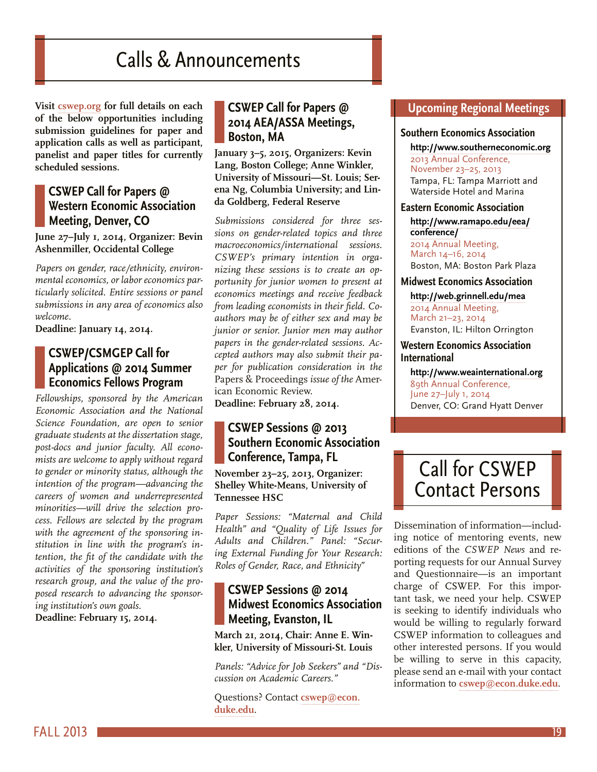# Calls & Announcements

<span id="page-18-0"></span>**Visit [cswep.org](http://www.aeaweb.org/committees/cswep/) for full details on each of the below opportunities including submission guidelines for paper and application calls as well as participant, panelist and paper titles for currently scheduled sessions.**

#### **CSWEP Call for Papers @ Western Economic Association Meeting, Denver, CO**

**June 27–July 1, 2014, Organizer: Bevin Ashenmiller, Occidental College**

*Papers on gender, race/ethnicity, environmental economics, or labor economics particularly solicited. Entire sessions or panel submissions in any area of economics also welcome.* 

**Deadline: January 14, 2014.**

#### **CSWEP/CSMGEP Call for Applications @ 2014 Summer Economics Fellows Program**

*Fellowships, sponsored by the American Economic Association and the National Science Foundation, are open to senior graduate students at the dissertation stage, post-docs and junior faculty. All economists are welcome to apply without regard to gender or minority status, although the intention of the program—advancing the careers of women and underrepresented minorities—will drive the selection process. Fellows are selected by the program with the agreement of the sponsoring institution in line with the program's intention, the fit of the candidate with the activities of the sponsoring institution's research group, and the value of the proposed research to advancing the sponsoring institution's own goals.*

**Deadline: February 15, 2014.** 

#### **CSWEP Call for Papers @ 2014 AEA/ASSA Meetings, Boston, MA**

**January 3–5, 2015, Organizers: Kevin Lang, Boston College; Anne Winkler, University of Missouri—St. Louis; Serena Ng, Columbia University; and Linda Goldberg, Federal Reserve**

*Submissions considered for three sessions on gender-related topics and three macroeconomics/international sessions. CSWEP's primary intention in organizing these sessions is to create an opportunity for junior women to present at economics meetings and receive feedback from leading economists in their field. Coauthors may be of either sex and may be junior or senior. Junior men may author papers in the gender-related sessions. Accepted authors may also submit their paper for publication consideration in the*  Papers & Proceedings *issue of the* American Economic Review.

#### **Deadline: February 28, 2014.**

#### **CSWEP Sessions @ 2013 Southern Economic Association Conference, Tampa, FL**

**November 23–25, 2013, Organizer: Shelley White-Means, University of Tennessee HSC**

*Paper Sessions: "Maternal and Child Health" and "Quality of Life Issues for Adults and Children." Panel: "Securing External Funding for Your Research: Roles of Gender, Race, and Ethnicity"*

#### **CSWEP Sessions @ 2014 Midwest Economics Association Meeting, Evanston, IL**

**March 21, 2014, Chair: Anne E. Winkler, University of Missouri-St. Louis**

*Panels: "Advice for Job Seekers" and "Discussion on Academic Careers."*

Questions? Contact **[cswep@econ.](mailto:mailto:%20cswep%40econ.duke.edu?subject=) [duke.edu](mailto:mailto:%20cswep%40econ.duke.edu?subject=)**.

#### **Upcoming Regional Meetings**

#### **Southern Economics Association**

**<http://www.southerneconomic.org>** 2013 Annual Conference, November 23–25, 2013 Tampa, FL: Tampa Marriott and Waterside Hotel and Marina

#### **Eastern Economic Association**

**[http://www.ramapo.edu/eea/](http://www.ramapo.edu/eea/conference/) [conference](http://www.ramapo.edu/eea/conference/)/** 2014 Annual Meeting,

March 14–16, 2014 Boston, MA: Boston Park Plaza

#### **Midwest Economics Association**

**<http://web.grinnell.edu/mea>** 2014 Annual Meeting, March 21–23, 2014 Evanston, IL: Hilton Orrington

#### **Western Economics Association International**

**<http://www.weainternational.org>** 89th Annual Conference, June 27–July 1, 2014 Denver, CO: Grand Hyatt Denver

# Call for CSWEP Contact Persons

Dissemination of information—including notice of mentoring events, new editions of the *CSWEP News* and reporting requests for our Annual Survey and Questionnaire—is an important charge of CSWEP. For this important task, we need your help. CSWEP is seeking to identify individuals who would be willing to regularly forward CSWEP information to colleagues and other interested persons. If you would be willing to serve in this capacity, please send an e-mail with your contact information to **[cswep@econ.duke.edu](mailto:cswep%40econ.duke.edu?subject=)**.